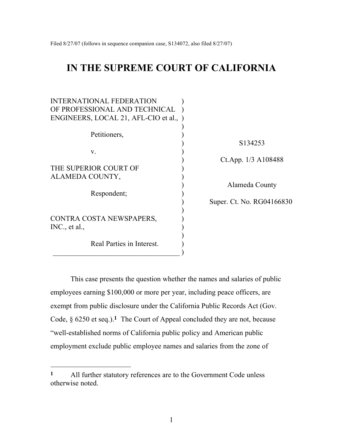# **IN THE SUPREME COURT OF CALIFORNIA**

| INTERNATIONAL FEDERATION             |                           |  |
|--------------------------------------|---------------------------|--|
| OF PROFESSIONAL AND TECHNICAL        |                           |  |
| ENGINEERS, LOCAL 21, AFL-CIO et al., |                           |  |
|                                      |                           |  |
| Petitioners,                         |                           |  |
|                                      | S <sub>134253</sub>       |  |
| $V_{\cdot}$                          |                           |  |
|                                      | Ct.App. 1/3 A108488       |  |
| THE SUPERIOR COURT OF                |                           |  |
| ALAMEDA COUNTY,                      |                           |  |
|                                      | Alameda County            |  |
| Respondent;                          |                           |  |
|                                      | Super. Ct. No. RG04166830 |  |
|                                      |                           |  |
| CONTRA COSTA NEWSPAPERS,             |                           |  |
| INC., et al.,                        |                           |  |
|                                      |                           |  |
| Real Parties in Interest.            |                           |  |

This case presents the question whether the names and salaries of public employees earning \$100,000 or more per year, including peace officers, are exempt from public disclosure under the California Public Records Act (Gov. Code, § 6250 et seq.).**1** The Court of Appeal concluded they are not, because "well-established norms of California public policy and American public employment exclude public employee names and salaries from the zone of

 $\qquad \qquad )$ 

**<sup>1</sup>** All further statutory references are to the Government Code unless otherwise noted.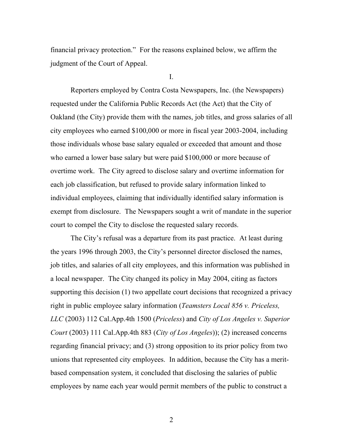financial privacy protection." For the reasons explained below, we affirm the judgment of the Court of Appeal.

I.

Reporters employed by Contra Costa Newspapers, Inc. (the Newspapers) requested under the California Public Records Act (the Act) that the City of Oakland (the City) provide them with the names, job titles, and gross salaries of all city employees who earned \$100,000 or more in fiscal year 2003-2004, including those individuals whose base salary equaled or exceeded that amount and those who earned a lower base salary but were paid \$100,000 or more because of overtime work. The City agreed to disclose salary and overtime information for each job classification, but refused to provide salary information linked to individual employees, claiming that individually identified salary information is exempt from disclosure. The Newspapers sought a writ of mandate in the superior court to compel the City to disclose the requested salary records.

The City's refusal was a departure from its past practice. At least during the years 1996 through 2003, the City's personnel director disclosed the names, job titles, and salaries of all city employees, and this information was published in a local newspaper. The City changed its policy in May 2004, citing as factors supporting this decision (1) two appellate court decisions that recognized a privacy right in public employee salary information (*Teamsters Local 856 v. Priceless, LLC* (2003) 112 Cal.App.4th 1500 (*Priceless*) and *City of Los Angeles v. Superior Court* (2003) 111 Cal.App.4th 883 (*City of Los Angeles*)); (2) increased concerns regarding financial privacy; and (3) strong opposition to its prior policy from two unions that represented city employees. In addition, because the City has a meritbased compensation system, it concluded that disclosing the salaries of public employees by name each year would permit members of the public to construct a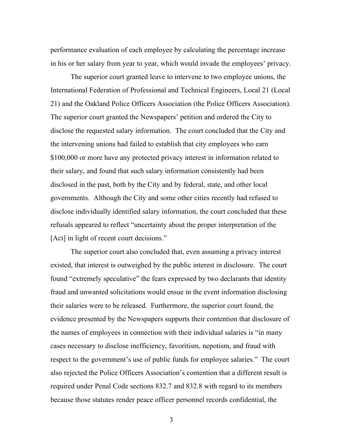performance evaluation of each employee by calculating the percentage increase in his or her salary from year to year, which would invade the employees' privacy.

The superior court granted leave to intervene to two employee unions, the International Federation of Professional and Technical Engineers, Local 21 (Local 21) and the Oakland Police Officers Association (the Police Officers Association). The superior court granted the Newspapers' petition and ordered the City to disclose the requested salary information. The court concluded that the City and the intervening unions had failed to establish that city employees who earn \$100,000 or more have any protected privacy interest in information related to their salary, and found that such salary information consistently had been disclosed in the past, both by the City and by federal, state, and other local governments. Although the City and some other cities recently had refused to disclose individually identified salary information, the court concluded that these refusals appeared to reflect "uncertainty about the proper interpretation of the [Act] in light of recent court decisions."

The superior court also concluded that, even assuming a privacy interest existed, that interest is outweighed by the public interest in disclosure. The court found "extremely speculative" the fears expressed by two declarants that identity fraud and unwanted solicitations would ensue in the event information disclosing their salaries were to be released. Furthermore, the superior court found, the evidence presented by the Newspapers supports their contention that disclosure of the names of employees in connection with their individual salaries is "in many cases necessary to disclose inefficiency, favoritism, nepotism, and fraud with respect to the government's use of public funds for employee salaries." The court also rejected the Police Officers Association's contention that a different result is required under Penal Code sections 832.7 and 832.8 with regard to its members because those statutes render peace officer personnel records confidential, the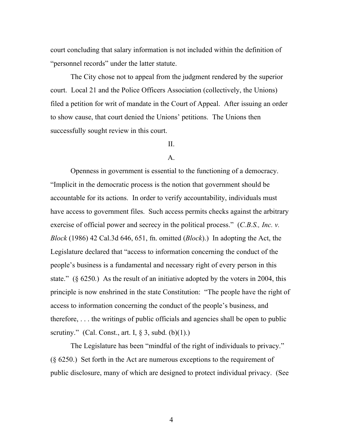court concluding that salary information is not included within the definition of "personnel records" under the latter statute.

The City chose not to appeal from the judgment rendered by the superior court. Local 21 and the Police Officers Association (collectively, the Unions) filed a petition for writ of mandate in the Court of Appeal. After issuing an order to show cause, that court denied the Unions' petitions. The Unions then successfully sought review in this court.

## $II$ .

## A.

Openness in government is essential to the functioning of a democracy. "Implicit in the democratic process is the notion that government should be accountable for its actions. In order to verify accountability, individuals must have access to government files. Such access permits checks against the arbitrary exercise of official power and secrecy in the political process." (*C.B.S., Inc. v. Block* (1986) 42 Cal.3d 646, 651, fn. omitted (*Block*).) In adopting the Act, the Legislature declared that "access to information concerning the conduct of the people's business is a fundamental and necessary right of every person in this state."  $(\S$  6250.) As the result of an initiative adopted by the voters in 2004, this principle is now enshrined in the state Constitution: "The people have the right of access to information concerning the conduct of the people's business, and therefore, . . . the writings of public officials and agencies shall be open to public scrutiny." (Cal. Const., art. I,  $\S$  3, subd. (b)(1).)

The Legislature has been "mindful of the right of individuals to privacy." (§ 6250.) Set forth in the Act are numerous exceptions to the requirement of public disclosure, many of which are designed to protect individual privacy. (See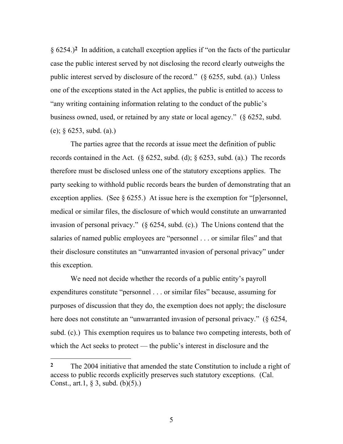§ 6254.)**2** In addition, a catchall exception applies if "on the facts of the particular case the public interest served by not disclosing the record clearly outweighs the public interest served by disclosure of the record." (§ 6255, subd. (a).) Unless one of the exceptions stated in the Act applies, the public is entitled to access to "any writing containing information relating to the conduct of the public's business owned, used, or retained by any state or local agency." (§ 6252, subd. (e); § 6253, subd. (a).)

The parties agree that the records at issue meet the definition of public records contained in the Act. ( $\S$  6252, subd. (d);  $\S$  6253, subd. (a).) The records therefore must be disclosed unless one of the statutory exceptions applies. The party seeking to withhold public records bears the burden of demonstrating that an exception applies. (See  $\S 6255$ .) At issue here is the exemption for "[p]ersonnel, medical or similar files, the disclosure of which would constitute an unwarranted invasion of personal privacy." (§ 6254, subd. (c).) The Unions contend that the salaries of named public employees are "personnel . . . or similar files" and that their disclosure constitutes an "unwarranted invasion of personal privacy" under this exception.

We need not decide whether the records of a public entity's payroll expenditures constitute "personnel . . . or similar files" because, assuming for purposes of discussion that they do, the exemption does not apply; the disclosure here does not constitute an "unwarranted invasion of personal privacy." (§ 6254, subd. (c).) This exemption requires us to balance two competing interests, both of which the Act seeks to protect — the public's interest in disclosure and the

 $\overline{a}$ 

**<sup>2</sup>** The 2004 initiative that amended the state Constitution to include a right of access to public records explicitly preserves such statutory exceptions. (Cal. Const., art.1, § 3, subd. (b)(5).)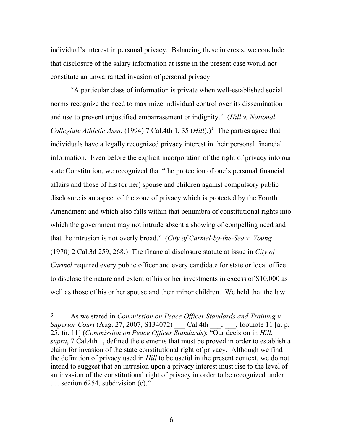individual's interest in personal privacy. Balancing these interests, we conclude that disclosure of the salary information at issue in the present case would not constitute an unwarranted invasion of personal privacy.

"A particular class of information is private when well-established social norms recognize the need to maximize individual control over its dissemination and use to prevent unjustified embarrassment or indignity." (*Hill v. National Collegiate Athletic Assn.* (1994) 7 Cal.4th 1, 35 (*Hill*).)**3** The parties agree that individuals have a legally recognized privacy interest in their personal financial information. Even before the explicit incorporation of the right of privacy into our state Constitution, we recognized that "the protection of one's personal financial affairs and those of his (or her) spouse and children against compulsory public disclosure is an aspect of the zone of privacy which is protected by the Fourth Amendment and which also falls within that penumbra of constitutional rights into which the government may not intrude absent a showing of compelling need and that the intrusion is not overly broad." (*City of Carmel-by-the-Sea v. Young*  (1970) 2 Cal.3d 259, 268.) The financial disclosure statute at issue in *City of Carmel* required every public officer and every candidate for state or local office to disclose the nature and extent of his or her investments in excess of \$10,000 as well as those of his or her spouse and their minor children. We held that the law

**<sup>3</sup>** As we stated in *Commission on Peace Officer Standards and Training v. Superior Court* (Aug. 27, 2007, S134072) *Cal.4th* , footnote 11 [at p. 25, fn. 11] (*Commission on Peace Officer Standards*): "Our decision in *Hill*, *supra*, 7 Cal.4th 1, defined the elements that must be proved in order to establish a claim for invasion of the state constitutional right of privacy. Although we find the definition of privacy used in *Hill* to be useful in the present context, we do not intend to suggest that an intrusion upon a privacy interest must rise to the level of an invasion of the constitutional right of privacy in order to be recognized under ... section 6254, subdivision (c)."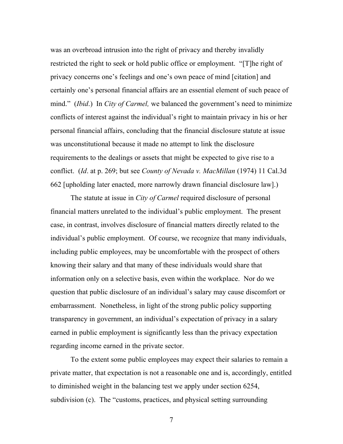was an overbroad intrusion into the right of privacy and thereby invalidly restricted the right to seek or hold public office or employment. "[T]he right of privacy concerns one's feelings and one's own peace of mind [citation] and certainly one's personal financial affairs are an essential element of such peace of mind." (*Ibid*.) In *City of Carmel,* we balanced the government's need to minimize conflicts of interest against the individual's right to maintain privacy in his or her personal financial affairs, concluding that the financial disclosure statute at issue was unconstitutional because it made no attempt to link the disclosure requirements to the dealings or assets that might be expected to give rise to a conflict. (*Id*. at p. 269; but see *County of Nevada v. MacMillan* (1974) 11 Cal.3d 662 [upholding later enacted, more narrowly drawn financial disclosure law].)

The statute at issue in *City of Carmel* required disclosure of personal financial matters unrelated to the individual's public employment. The present case, in contrast, involves disclosure of financial matters directly related to the individual's public employment. Of course, we recognize that many individuals, including public employees, may be uncomfortable with the prospect of others knowing their salary and that many of these individuals would share that information only on a selective basis, even within the workplace. Nor do we question that public disclosure of an individual's salary may cause discomfort or embarrassment. Nonetheless, in light of the strong public policy supporting transparency in government, an individual's expectation of privacy in a salary earned in public employment is significantly less than the privacy expectation regarding income earned in the private sector.

To the extent some public employees may expect their salaries to remain a private matter, that expectation is not a reasonable one and is, accordingly, entitled to diminished weight in the balancing test we apply under section 6254, subdivision (c). The "customs, practices, and physical setting surrounding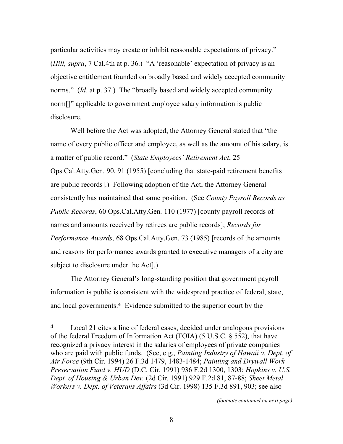particular activities may create or inhibit reasonable expectations of privacy." (*Hill, supra*, 7 Cal.4th at p. 36.) "A 'reasonable' expectation of privacy is an objective entitlement founded on broadly based and widely accepted community norms." *(Id.* at p. 37.) The "broadly based and widely accepted community norm<sup>[]"</sup> applicable to government employee salary information is public disclosure.

Well before the Act was adopted, the Attorney General stated that "the name of every public officer and employee, as well as the amount of his salary, is a matter of public record." (*State Employees' Retirement Act*, 25 Ops.Cal.Atty.Gen. 90, 91 (1955) [concluding that state-paid retirement benefits are public records].) Following adoption of the Act, the Attorney General consistently has maintained that same position. (See *County Payroll Records as Public Records*, 60 Ops.Cal.Atty.Gen. 110 (1977) [county payroll records of names and amounts received by retirees are public records]; *Records for Performance Awards*, 68 Ops.Cal.Atty.Gen. 73 (1985) [records of the amounts and reasons for performance awards granted to executive managers of a city are subject to disclosure under the Act].)

The Attorney General's long-standing position that government payroll information is public is consistent with the widespread practice of federal, state, and local governments.**4** Evidence submitted to the superior court by the

 $\overline{a}$ 

*(footnote continued on next page)*

**<sup>4</sup>** Local 21 cites a line of federal cases, decided under analogous provisions of the federal Freedom of Information Act (FOIA) (5 U.S.C. § 552), that have recognized a privacy interest in the salaries of employees of private companies who are paid with public funds. (See, e.g., *Painting Industry of Hawaii v. Dept. of Air Force* (9th Cir. 1994) 26 F.3d 1479, 1483-1484; *Painting and Drywall Work Preservation Fund v. HUD* (D.C. Cir. 1991) 936 F.2d 1300, 1303; *Hopkins v. U.S. Dept. of Housing & Urban Dev.* (2d Cir. 1991) 929 F.2d 81, 87-88; *Sheet Metal Workers v. Dept. of Veterans Affairs* (3d Cir. 1998) 135 F.3d 891, 903; see also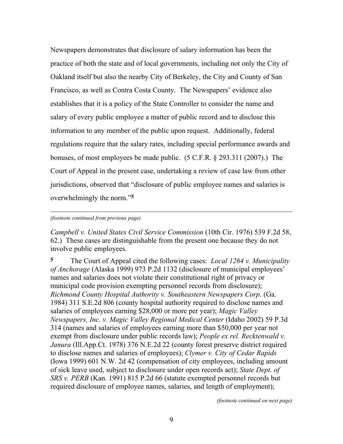Newspapers demonstrates that disclosure of salary information has been the practice of both the state and of local governments, including not only the City of Oakland itself but also the nearby City of Berkeley, the City and County of San Francisco, as well as Contra Costa County. The Newspapers' evidence also establishes that it is a policy of the State Controller to consider the name and salary of every public employee a matter of public record and to disclose this information to any member of the public upon request. Additionally, federal regulations require that the salary rates, including special performance awards and bonuses, of most employees be made public. (5 C.F.R. § 293.311 (2007).) The Court of Appeal in the present case, undertaking a review of case law from other jurisdictions, observed that "disclosure of public employee names and salaries is overwhelmingly the norm."**5**

#### *(footnote continued from previous page)*

l

*Campbell v. United States Civil Service Commission* (10th Cir. 1976) 539 F.2d 58, 62.) These cases are distinguishable from the present one because they do not involve public employees.

**5** The Court of Appeal cited the following cases: *Local 1264 v. Municipality of Anchorage* (Alaska 1999) 973 P.2d 1132 (disclosure of municipal employees' names and salaries does not violate their constitutional right of privacy or municipal code provision exempting personnel records from disclosure); *Richmond County Hospital Authority v. Southeastern Newspapers Corp*. (Ga. 1984) 311 S.E.2d 806 (county hospital authority required to disclose names and salaries of employees earning \$28,000 or more per year); *Magic Valley Newspapers, Inc. v. Magic Valley Regional Medical Center* (Idaho 2002) 59 P.3d 314 (names and salaries of employees earning more than \$50,000 per year not exempt from disclosure under public records law); *People ex rel. Recktenwald v. Janura* (Ill.App.Ct. 1978) 376 N.E.2d 22 (county forest preserve district required to disclose names and salaries of employees); *Clymer v. City of Cedar Rapids* (Iowa 1999) 601 N.W. 2d 42 (compensation of city employees, including amount of sick leave used, subject to disclosure under open records act); *State Dept. of SRS v. PERB* (Kan. 1991) 815 P.2d 66 (statute exempted personnel records but required disclosure of employee names, salaries, and length of employment);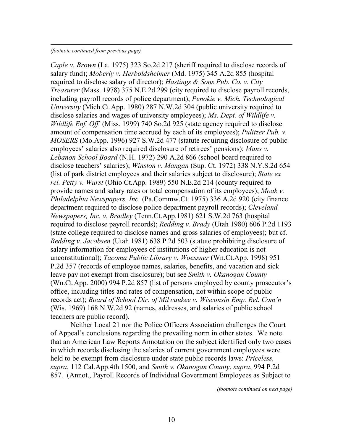#### *(footnote continued from previous page)*

 $\overline{a}$ 

*Caple v. Brown* (La. 1975) 323 So.2d 217 (sheriff required to disclose records of salary fund); *Moberly v. Herboldsheimer* (Md. 1975) 345 A.2d 855 (hospital required to disclose salary of director); *Hastings & Sons Pub. Co. v. City Treasurer* (Mass. 1978) 375 N.E.2d 299 (city required to disclose payroll records, including payroll records of police department); *Penokie v. Mich. Technological University* (Mich.Ct.App. 1980) 287 N.W.2d 304 (public university required to disclose salaries and wages of university employees); *Ms. Dept. of Wildlife v. Wildlife Enf. Off.* (Miss. 1999) 740 So.2d 925 (state agency required to disclose amount of compensation time accrued by each of its employees); *Pulitzer Pub. v. MOSERS* (Mo.App. 1996) 927 S.W.2d 477 (statute requiring disclosure of public employees' salaries also required disclosure of retirees' pensions); *Mans v. Lebanon School Board* (N.H. 1972) 290 A.2d 866 (school board required to disclose teachers' salaries); *Winston v. Mangan* (Sup. Ct. 1972) 338 N.Y.S.2d 654 (list of park district employees and their salaries subject to disclosure); *State ex rel. Petty v. Wurst* (Ohio Ct.App. 1989) 550 N.E.2d 214 (county required to provide names and salary rates or total compensation of its employees); *Moak v. Philadelphia Newspapers, Inc.* (Pa.Commw.Ct. 1975) 336 A.2d 920 (city finance department required to disclose police department payroll records); *Cleveland Newspapers, Inc. v. Bradley* (Tenn.Ct.App.1981) 621 S.W.2d 763 (hospital required to disclose payroll records); *Redding v. Brady* (Utah 1980) 606 P.2d 1193 (state college required to disclose names and gross salaries of employees); but cf. *Redding v. Jacobsen* (Utah 1981) 638 P.2d 503 (statute prohibiting disclosure of salary information for employees of institutions of higher education is not unconstitutional); *Tacoma Public Library v. Woessner* (Wn.Ct.App. 1998) 951 P.2d 357 (records of employee names, salaries, benefits, and vacation and sick leave pay not exempt from disclosure); but see *Smith v. Okanogan County*  (Wn.Ct.App. 2000) 994 P.2d 857 (list of persons employed by county prosecutor's office, including titles and rates of compensation, not within scope of public records act); *Board of School Dir. of Milwaukee v. Wisconsin Emp. Rel. Com'n*  (Wis. 1969) 168 N.W.2d 92 (names, addresses, and salaries of public school teachers are public record).

Neither Local 21 nor the Police Officers Association challenges the Court of Appeal's conclusions regarding the prevailing norm in other states. We note that an American Law Reports Annotation on the subject identified only two cases in which records disclosing the salaries of current government employees were held to be exempt from disclosure under state public records laws: *Priceless, supra*, 112 Cal.App.4th 1500, and *Smith v. Okanogan County*, *supra*, 994 P.2d 857. (Annot., Payroll Records of Individual Government Employees as Subject to

*(footnote continued on next page)*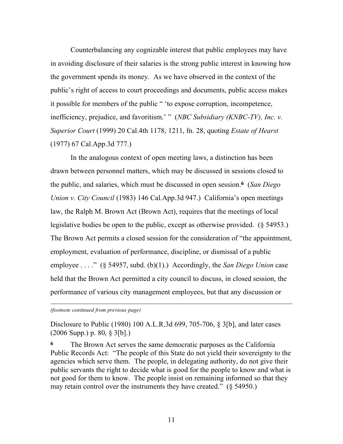Counterbalancing any cognizable interest that public employees may have in avoiding disclosure of their salaries is the strong public interest in knowing how the government spends its money. As we have observed in the context of the public's right of access to court proceedings and documents, public access makes it possible for members of the public " 'to expose corruption, incompetence, inefficiency, prejudice, and favoritism.' " (*NBC Subsidiary (KNBC-TV), Inc. v. Superior Court* (1999) 20 Cal.4th 1178, 1211, fn. 28, quoting *Estate of Hearst* (1977) 67 Cal.App.3d 777.)

In the analogous context of open meeting laws, a distinction has been drawn between personnel matters, which may be discussed in sessions closed to the public, and salaries, which must be discussed in open session.**6** (*San Diego Union v. City Council* (1983) 146 Cal.App.3d 947.) California's open meetings law, the Ralph M. Brown Act (Brown Act), requires that the meetings of local legislative bodies be open to the public, except as otherwise provided. (§ 54953.) The Brown Act permits a closed session for the consideration of "the appointment, employment, evaluation of performance, discipline, or dismissal of a public employee . . . ." (§ 54957, subd. (b)(1).) Accordingly, the *San Diego Union* case held that the Brown Act permitted a city council to discuss, in closed session, the performance of various city management employees, but that any discussion or

*(footnote continued from previous page)*

 $\overline{a}$ 

Disclosure to Public (1980) 100 A.L.R.3d 699, 705-706, § 3[b], and later cases (2006 Supp.) p. 80, § 3[b].)

**6** The Brown Act serves the same democratic purposes as the California Public Records Act: "The people of this State do not yield their sovereignty to the agencies which serve them. The people, in delegating authority, do not give their public servants the right to decide what is good for the people to know and what is not good for them to know. The people insist on remaining informed so that they may retain control over the instruments they have created." (§ 54950.)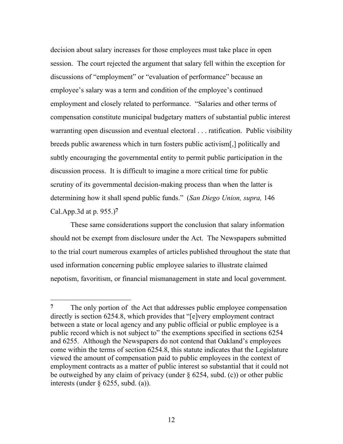decision about salary increases for those employees must take place in open session. The court rejected the argument that salary fell within the exception for discussions of "employment" or "evaluation of performance" because an employee's salary was a term and condition of the employee's continued employment and closely related to performance. "Salaries and other terms of compensation constitute municipal budgetary matters of substantial public interest warranting open discussion and eventual electoral . . . ratification. Public visibility breeds public awareness which in turn fosters public activism[,] politically and subtly encouraging the governmental entity to permit public participation in the discussion process. It is difficult to imagine a more critical time for public scrutiny of its governmental decision-making process than when the latter is determining how it shall spend public funds." (*San Diego Union, supra,* 146 Cal.App.3d at p. 955.)**7**

These same considerations support the conclusion that salary information should not be exempt from disclosure under the Act. The Newspapers submitted to the trial court numerous examples of articles published throughout the state that used information concerning public employee salaries to illustrate claimed nepotism, favoritism, or financial mismanagement in state and local government.

**<sup>7</sup>** The only portion of the Act that addresses public employee compensation directly is section 6254.8, which provides that "[e]very employment contract between a state or local agency and any public official or public employee is a public record which is not subject to" the exemptions specified in sections 6254 and 6255. Although the Newspapers do not contend that Oakland's employees come within the terms of section 6254.8, this statute indicates that the Legislature viewed the amount of compensation paid to public employees in the context of employment contracts as a matter of public interest so substantial that it could not be outweighed by any claim of privacy (under § 6254, subd. (c)) or other public interests (under  $\S$  6255, subd. (a)).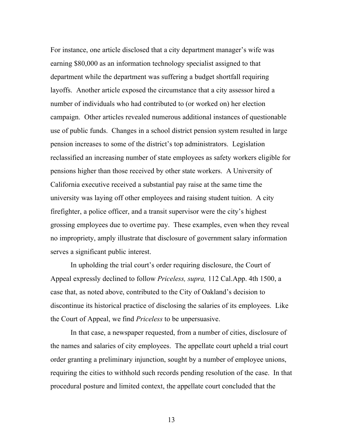For instance, one article disclosed that a city department manager's wife was earning \$80,000 as an information technology specialist assigned to that department while the department was suffering a budget shortfall requiring layoffs. Another article exposed the circumstance that a city assessor hired a number of individuals who had contributed to (or worked on) her election campaign. Other articles revealed numerous additional instances of questionable use of public funds. Changes in a school district pension system resulted in large pension increases to some of the district's top administrators. Legislation reclassified an increasing number of state employees as safety workers eligible for pensions higher than those received by other state workers. A University of California executive received a substantial pay raise at the same time the university was laying off other employees and raising student tuition. A city firefighter, a police officer, and a transit supervisor were the city's highest grossing employees due to overtime pay. These examples, even when they reveal no impropriety, amply illustrate that disclosure of government salary information serves a significant public interest.

In upholding the trial court's order requiring disclosure, the Court of Appeal expressly declined to follow *Priceless, supra,* 112 Cal.App. 4th 1500, a case that, as noted above, contributed to the City of Oakland's decision to discontinue its historical practice of disclosing the salaries of its employees. Like the Court of Appeal, we find *Priceless* to be unpersuasive.

In that case, a newspaper requested, from a number of cities, disclosure of the names and salaries of city employees. The appellate court upheld a trial court order granting a preliminary injunction, sought by a number of employee unions, requiring the cities to withhold such records pending resolution of the case. In that procedural posture and limited context, the appellate court concluded that the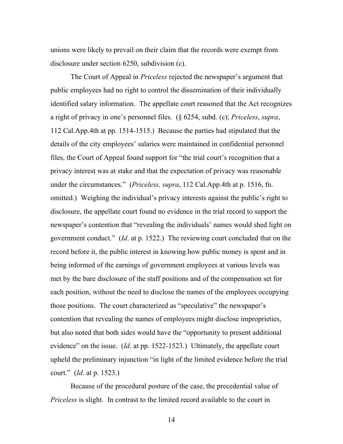unions were likely to prevail on their claim that the records were exempt from disclosure under section 6250, subdivision (c).

The Court of Appeal in *Priceless* rejected the newspaper's argument that public employees had no right to control the dissemination of their individually identified salary information. The appellate court reasoned that the Act recognizes a right of privacy in one's personnel files. (§ 6254, subd. (c); *Priceless*, *supra*, 112 Cal.App.4th at pp. 1514-1515.) Because the parties had stipulated that the details of the city employees' salaries were maintained in confidential personnel files, the Court of Appeal found support for "the trial court's recognition that a privacy interest was at stake and that the expectation of privacy was reasonable under the circumstances." (*Priceless, supra*, 112 Cal.App.4th at p. 1516, fn. omitted.) Weighing the individual's privacy interests against the public's right to disclosure, the appellate court found no evidence in the trial record to support the newspaper's contention that "revealing the individuals' names would shed light on government conduct." (*Id*. at p. 1522.) The reviewing court concluded that on the record before it, the public interest in knowing how public money is spent and in being informed of the earnings of government employees at various levels was met by the bare disclosure of the staff positions and of the compensation set for each position, without the need to disclose the names of the employees occupying those positions. The court characterized as "speculative" the newspaper's contention that revealing the names of employees might disclose improprieties, but also noted that both sides would have the "opportunity to present additional evidence" on the issue. (*Id*. at pp. 1522-1523.) Ultimately, the appellate court upheld the preliminary injunction "in light of the limited evidence before the trial court." (*Id*. at p. 1523.)

Because of the procedural posture of the case, the precedential value of *Priceless* is slight. In contrast to the limited record available to the court in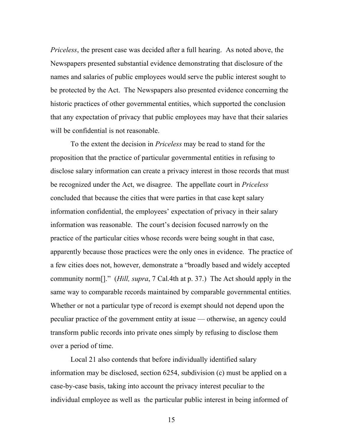*Priceless*, the present case was decided after a full hearing. As noted above, the Newspapers presented substantial evidence demonstrating that disclosure of the names and salaries of public employees would serve the public interest sought to be protected by the Act. The Newspapers also presented evidence concerning the historic practices of other governmental entities, which supported the conclusion that any expectation of privacy that public employees may have that their salaries will be confidential is not reasonable.

To the extent the decision in *Priceless* may be read to stand for the proposition that the practice of particular governmental entities in refusing to disclose salary information can create a privacy interest in those records that must be recognized under the Act, we disagree. The appellate court in *Priceless* concluded that because the cities that were parties in that case kept salary information confidential, the employees' expectation of privacy in their salary information was reasonable. The court's decision focused narrowly on the practice of the particular cities whose records were being sought in that case, apparently because those practices were the only ones in evidence. The practice of a few cities does not, however, demonstrate a "broadly based and widely accepted community norm[]." (*Hill, supra*, 7 Cal.4th at p. 37.) The Act should apply in the same way to comparable records maintained by comparable governmental entities. Whether or not a particular type of record is exempt should not depend upon the peculiar practice of the government entity at issue — otherwise, an agency could transform public records into private ones simply by refusing to disclose them over a period of time.

Local 21 also contends that before individually identified salary information may be disclosed, section 6254, subdivision (c) must be applied on a case-by-case basis, taking into account the privacy interest peculiar to the individual employee as well as the particular public interest in being informed of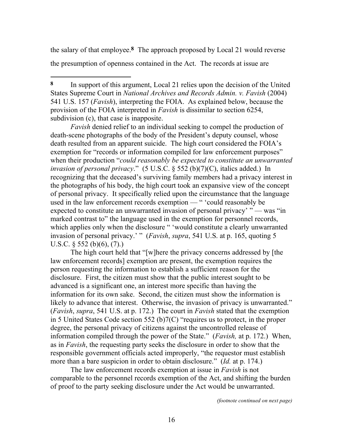the salary of that employee.**8** The approach proposed by Local 21 would reverse the presumption of openness contained in the Act. The records at issue are

 $\overline{a}$ 

*Favish* denied relief to an individual seeking to compel the production of death-scene photographs of the body of the President's deputy counsel, whose death resulted from an apparent suicide. The high court considered the FOIA's exemption for "records or information compiled for law enforcement purposes" when their production "*could reasonably be expected to constitute an unwarranted invasion of personal privacy*." (5 U.S.C. § 552 (b)(7)(C), italics added.) In recognizing that the deceased's surviving family members had a privacy interest in the photographs of his body, the high court took an expansive view of the concept of personal privacy. It specifically relied upon the circumstance that the language used in the law enforcement records exemption — " 'could reasonably be expected to constitute an unwarranted invasion of personal privacy' " — was "in marked contrast to" the language used in the exemption for personnel records, which applies only when the disclosure " 'would constitute a clearly unwarranted invasion of personal privacy.' " (*Favish*, *supra*, 541 U.S. at p. 165, quoting 5 U.S.C.  $\frac{552}{10}(6)(6), (7)$ .

The high court held that "[w]here the privacy concerns addressed by [the law enforcement records] exemption are present, the exemption requires the person requesting the information to establish a sufficient reason for the disclosure. First, the citizen must show that the public interest sought to be advanced is a significant one, an interest more specific than having the information for its own sake. Second, the citizen must show the information is likely to advance that interest. Otherwise, the invasion of privacy is unwarranted." (*Favish*, *supra*, 541 U.S. at p. 172.) The court in *Favish* stated that the exemption in 5 United States Code section 552 (b)7(C) "requires us to protect, in the proper degree, the personal privacy of citizens against the uncontrolled release of information compiled through the power of the State." (*Favish,* at p. 172.) When, as in *Favish*, the requesting party seeks the disclosure in order to show that the responsible government officials acted improperly, "the requestor must establish more than a bare suspicion in order to obtain disclosure." (*Id.* at p. 174.)

The law enforcement records exemption at issue in *Favish* is not comparable to the personnel records exemption of the Act, and shifting the burden of proof to the party seeking disclosure under the Act would be unwarranted.

**<sup>8</sup>** In support of this argument, Local 21 relies upon the decision of the United States Supreme Court in *National Archives and Records Admin. v. Favish* (2004) 541 U.S. 157 (*Favish*), interpreting the FOIA. As explained below, because the provision of the FOIA interpreted in *Favish* is dissimilar to section 6254, subdivision (c), that case is inapposite.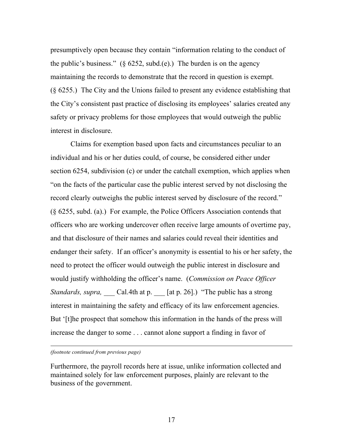presumptively open because they contain "information relating to the conduct of the public's business." ( $\S$  6252, subd.(e).) The burden is on the agency maintaining the records to demonstrate that the record in question is exempt. (§ 6255.) The City and the Unions failed to present any evidence establishing that the City's consistent past practice of disclosing its employees' salaries created any safety or privacy problems for those employees that would outweigh the public interest in disclosure.

Claims for exemption based upon facts and circumstances peculiar to an individual and his or her duties could, of course, be considered either under section 6254, subdivision (c) or under the catchall exemption, which applies when "on the facts of the particular case the public interest served by not disclosing the record clearly outweighs the public interest served by disclosure of the record." (§ 6255, subd. (a).) For example, the Police Officers Association contends that officers who are working undercover often receive large amounts of overtime pay, and that disclosure of their names and salaries could reveal their identities and endanger their safety. If an officer's anonymity is essential to his or her safety, the need to protect the officer would outweigh the public interest in disclosure and would justify withholding the officer's name. (*Commission on Peace Officer Standards, supra,* Cal.4th at p. [at p. 26].) "The public has a strong interest in maintaining the safety and efficacy of its law enforcement agencies. But '[t]he prospect that somehow this information in the hands of the press will increase the danger to some . . . cannot alone support a finding in favor of

*(footnote continued from previous page)*

l

Furthermore, the payroll records here at issue, unlike information collected and maintained solely for law enforcement purposes, plainly are relevant to the business of the government.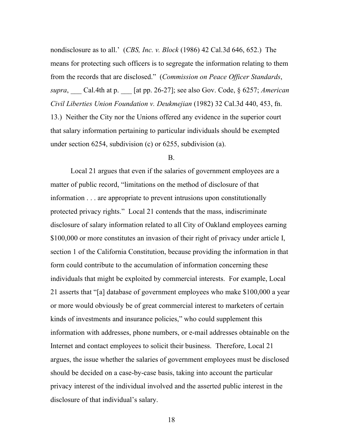nondisclosure as to all.' (*CBS, Inc. v. Block* (1986) 42 Cal.3d 646, 652.) The means for protecting such officers is to segregate the information relating to them from the records that are disclosed." (*Commission on Peace Officer Standards*, *supra*, \_\_\_ Cal.4th at p. \_\_\_ [at pp. 26-27]; see also Gov. Code, § 6257; *American Civil Liberties Union Foundation v. Deukmejian* (1982) 32 Cal.3d 440, 453, fn. 13.) Neither the City nor the Unions offered any evidence in the superior court that salary information pertaining to particular individuals should be exempted under section 6254, subdivision (c) or 6255, subdivision (a).

#### B.

Local 21 argues that even if the salaries of government employees are a matter of public record, "limitations on the method of disclosure of that information . . . are appropriate to prevent intrusions upon constitutionally protected privacy rights." Local 21 contends that the mass, indiscriminate disclosure of salary information related to all City of Oakland employees earning \$100,000 or more constitutes an invasion of their right of privacy under article I, section 1 of the California Constitution, because providing the information in that form could contribute to the accumulation of information concerning these individuals that might be exploited by commercial interests. For example, Local 21 asserts that "[a] database of government employees who make \$100,000 a year or more would obviously be of great commercial interest to marketers of certain kinds of investments and insurance policies," who could supplement this information with addresses, phone numbers, or e-mail addresses obtainable on the Internet and contact employees to solicit their business. Therefore, Local 21 argues, the issue whether the salaries of government employees must be disclosed should be decided on a case-by-case basis, taking into account the particular privacy interest of the individual involved and the asserted public interest in the disclosure of that individual's salary.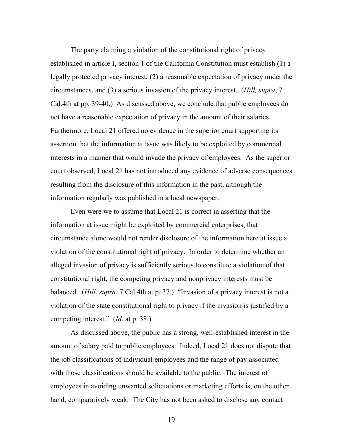The party claiming a violation of the constitutional right of privacy established in article I, section 1 of the California Constitution must establish (1) a legally protected privacy interest, (2) a reasonable expectation of privacy under the circumstances, and (3) a serious invasion of the privacy interest. (*Hill, supra*, 7 Cal.4th at pp. 39-40.) As discussed above, we conclude that public employees do not have a reasonable expectation of privacy in the amount of their salaries. Furthermore, Local 21 offered no evidence in the superior court supporting its assertion that the information at issue was likely to be exploited by commercial interests in a manner that would invade the privacy of employees. As the superior court observed, Local 21 has not introduced any evidence of adverse consequences resulting from the disclosure of this information in the past, although the information regularly was published in a local newspaper.

Even were we to assume that Local 21 is correct in asserting that the information at issue might be exploited by commercial enterprises, that circumstance alone would not render disclosure of the information here at issue a violation of the constitutional right of privacy. In order to determine whether an alleged invasion of privacy is sufficiently serious to constitute a violation of that constitutional right, the competing privacy and nonprivacy interests must be balanced. (*Hill*, *supra*, 7 Cal.4th at p. 37.) "Invasion of a privacy interest is not a violation of the state constitutional right to privacy if the invasion is justified by a competing interest." (*Id*. at p. 38.)

As discussed above, the public has a strong, well-established interest in the amount of salary paid to public employees. Indeed, Local 21 does not dispute that the job classifications of individual employees and the range of pay associated with those classifications should be available to the public. The interest of employees in avoiding unwanted solicitations or marketing efforts is, on the other hand, comparatively weak. The City has not been asked to disclose any contact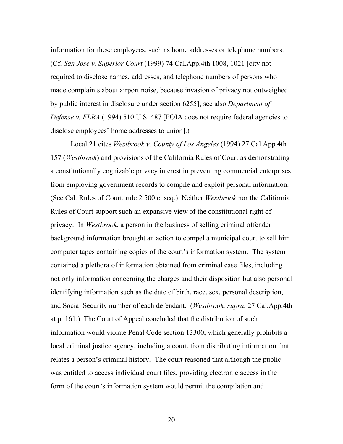information for these employees, such as home addresses or telephone numbers. (Cf. *San Jose v. Superior Court* (1999) 74 Cal.App.4th 1008, 1021 [city not required to disclose names, addresses, and telephone numbers of persons who made complaints about airport noise, because invasion of privacy not outweighed by public interest in disclosure under section 6255]; see also *Department of Defense v. FLRA* (1994) 510 U.S. 487 [FOIA does not require federal agencies to disclose employees' home addresses to union].)

Local 21 cites *Westbrook v. County of Los Angeles* (1994) 27 Cal.App.4th 157 (*Westbrook*) and provisions of the California Rules of Court as demonstrating a constitutionally cognizable privacy interest in preventing commercial enterprises from employing government records to compile and exploit personal information. (See Cal. Rules of Court, rule 2.500 et seq.) Neither *Westbrook* nor the California Rules of Court support such an expansive view of the constitutional right of privacy. In *Westbrook*, a person in the business of selling criminal offender background information brought an action to compel a municipal court to sell him computer tapes containing copies of the court's information system. The system contained a plethora of information obtained from criminal case files, including not only information concerning the charges and their disposition but also personal identifying information such as the date of birth, race, sex, personal description, and Social Security number of each defendant. (*Westbrook, supra*, 27 Cal.App.4th at p. 161.) The Court of Appeal concluded that the distribution of such information would violate Penal Code section 13300, which generally prohibits a local criminal justice agency, including a court, from distributing information that relates a person's criminal history. The court reasoned that although the public was entitled to access individual court files, providing electronic access in the form of the court's information system would permit the compilation and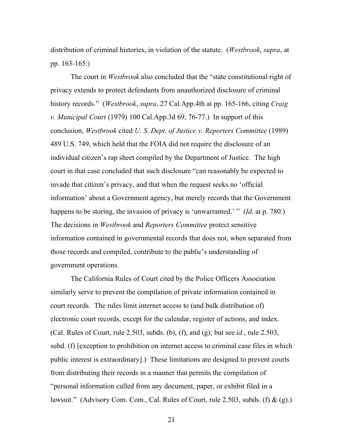distribution of criminal histories, in violation of the statute. (*Westbrook*, *supra*, at pp. 163-165.)

The court in *Westbrook* also concluded that the "state constitutional right of privacy extends to protect defendants from unauthorized disclosure of criminal history records." (*Westbrook*, *supra*, 27 Cal.App.4th at pp. 165-166, citing *Craig v. Municipal Court* (1979) 100 Cal.App.3d 69, 76-77.) In support of this conclusion, *Westbrook* cited *U. S. Dept. of Justice v. Reporters Committee* (1989) 489 U.S. 749, which held that the FOIA did not require the disclosure of an individual citizen's rap sheet compiled by the Department of Justice. The high court in that case concluded that such disclosure "can reasonably be expected to invade that citizen's privacy, and that when the request seeks no 'official information' about a Government agency, but merely records that the Government happens to be storing, the invasion of privacy is 'unwarranted.' " (*Id*. at p. 780.) The decisions in *Westbrook* and *Reporters Committee* protect sensitive information contained in governmental records that does not, when separated from those records and compiled, contribute to the public's understanding of government operations.

The California Rules of Court cited by the Police Officers Association similarly serve to prevent the compilation of private information contained in court records. The rules limit internet access to (and bulk distribution of) electronic court records, except for the calendar, register of actions, and index. (Cal. Rules of Court, rule 2.503, subds. (b), (f), and (g); but see *id*., rule 2.503, subd. (f) [exception to prohibition on internet access to criminal case files in which public interest is extraordinary].) These limitations are designed to prevent courts from distributing their records in a manner that permits the compilation of "personal information culled from any document, paper, or exhibit filed in a lawsuit." (Advisory Com. Com., Cal. Rules of Court, rule 2.503, subds. (f)  $\&$  (g).)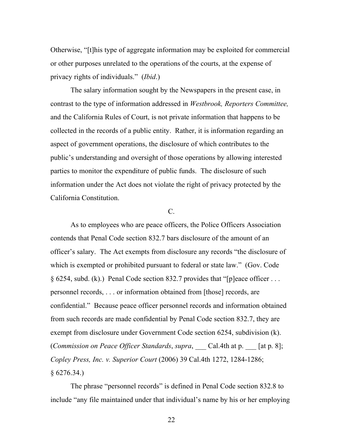Otherwise, "[t]his type of aggregate information may be exploited for commercial or other purposes unrelated to the operations of the courts, at the expense of privacy rights of individuals." (*Ibid*.)

The salary information sought by the Newspapers in the present case, in contrast to the type of information addressed in *Westbrook, Reporters Committee,* and the California Rules of Court, is not private information that happens to be collected in the records of a public entity. Rather, it is information regarding an aspect of government operations, the disclosure of which contributes to the public's understanding and oversight of those operations by allowing interested parties to monitor the expenditure of public funds. The disclosure of such information under the Act does not violate the right of privacy protected by the California Constitution.

## C.

As to employees who are peace officers, the Police Officers Association contends that Penal Code section 832.7 bars disclosure of the amount of an officer's salary. The Act exempts from disclosure any records "the disclosure of which is exempted or prohibited pursuant to federal or state law." (Gov. Code § 6254, subd. (k).) Penal Code section 832.7 provides that "[p]eace officer . . . personnel records, . . . or information obtained from [those] records, are confidential." Because peace officer personnel records and information obtained from such records are made confidential by Penal Code section 832.7, they are exempt from disclosure under Government Code section 6254, subdivision (k). (*Commission on Peace Officer Standards*, *supra*, \_\_\_ Cal.4th at p. \_\_\_ [at p. 8]; *Copley Press, Inc. v. Superior Court* (2006) 39 Cal.4th 1272, 1284-1286;  $§ 6276.34.$ 

The phrase "personnel records" is defined in Penal Code section 832.8 to include "any file maintained under that individual's name by his or her employing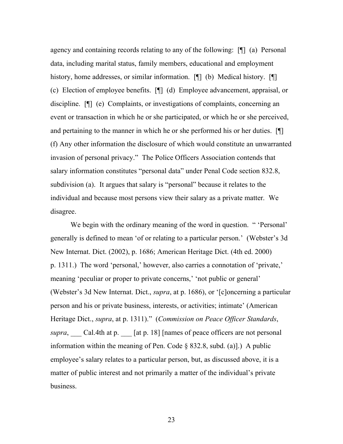agency and containing records relating to any of the following: [¶] (a) Personal data, including marital status, family members, educational and employment history, home addresses, or similar information. [¶] (b) Medical history. [¶] (c) Election of employee benefits. [¶] (d) Employee advancement, appraisal, or discipline. [¶] (e) Complaints, or investigations of complaints, concerning an event or transaction in which he or she participated, or which he or she perceived, and pertaining to the manner in which he or she performed his or her duties. [¶] (f) Any other information the disclosure of which would constitute an unwarranted invasion of personal privacy." The Police Officers Association contends that salary information constitutes "personal data" under Penal Code section 832.8, subdivision (a). It argues that salary is "personal" because it relates to the individual and because most persons view their salary as a private matter. We disagree.

We begin with the ordinary meaning of the word in question. " 'Personal' generally is defined to mean 'of or relating to a particular person.' (Webster's 3d New Internat. Dict. (2002), p. 1686; American Heritage Dict. (4th ed. 2000) p. 1311.) The word 'personal,' however, also carries a connotation of 'private,' meaning 'peculiar or proper to private concerns,' 'not public or general' (Webster's 3d New Internat. Dict., *supra*, at p. 1686), or '[c]oncerning a particular person and his or private business, interests, or activities; intimate' (American Heritage Dict., *supra*, at p. 1311)." (*Commission on Peace Officer Standards*, *supra*, Cal.4th at p. [at p. 18] [names of peace officers are not personal information within the meaning of Pen. Code  $\S$  832.8, subd. (a).) A public employee's salary relates to a particular person, but, as discussed above, it is a matter of public interest and not primarily a matter of the individual's private business.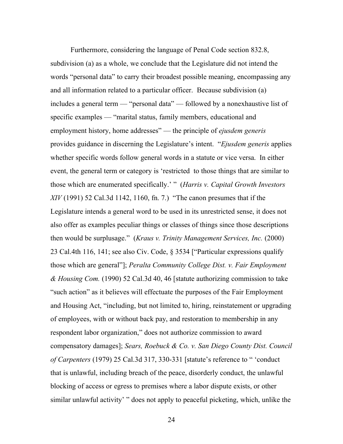Furthermore, considering the language of Penal Code section 832.8, subdivision (a) as a whole, we conclude that the Legislature did not intend the words "personal data" to carry their broadest possible meaning, encompassing any and all information related to a particular officer. Because subdivision (a) includes a general term — "personal data" — followed by a nonexhaustive list of specific examples — "marital status, family members, educational and employment history, home addresses" — the principle of *ejusdem generis* provides guidance in discerning the Legislature's intent. "*Ejusdem generis* applies whether specific words follow general words in a statute or vice versa. In either event, the general term or category is 'restricted to those things that are similar to those which are enumerated specifically.' " (*Harris v. Capital Growth Investors XIV* (1991) 52 Cal.3d 1142, 1160, fn. 7.) "The canon presumes that if the Legislature intends a general word to be used in its unrestricted sense, it does not also offer as examples peculiar things or classes of things since those descriptions then would be surplusage." (*Kraus v. Trinity Management Services, Inc.* (2000) 23 Cal.4th 116, 141; see also Civ. Code, § 3534 ["Particular expressions qualify those which are general"]; *Peralta Community College Dist. v. Fair Employment & Housing Com.* (1990) 52 Cal.3d 40, 46 [statute authorizing commission to take "such action" as it believes will effectuate the purposes of the Fair Employment and Housing Act, "including, but not limited to, hiring, reinstatement or upgrading of employees, with or without back pay, and restoration to membership in any respondent labor organization," does not authorize commission to award compensatory damages]; *Sears, Roebuck & Co. v. San Diego County Dist. Council of Carpenters* (1979) 25 Cal.3d 317, 330-331 [statute's reference to " 'conduct that is unlawful, including breach of the peace, disorderly conduct, the unlawful blocking of access or egress to premises where a labor dispute exists, or other similar unlawful activity' " does not apply to peaceful picketing, which, unlike the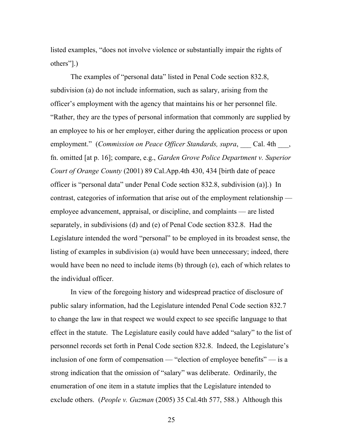listed examples, "does not involve violence or substantially impair the rights of others"].)

The examples of "personal data" listed in Penal Code section 832.8, subdivision (a) do not include information, such as salary, arising from the officer's employment with the agency that maintains his or her personnel file. "Rather, they are the types of personal information that commonly are supplied by an employee to his or her employer, either during the application process or upon employment." *(Commission on Peace Officer Standards, supra,* Cal. 4th, fn. omitted [at p. 16]; compare, e.g., *Garden Grove Police Department v. Superior Court of Orange County* (2001) 89 Cal.App.4th 430, 434 [birth date of peace officer is "personal data" under Penal Code section 832.8, subdivision (a)].) In contrast, categories of information that arise out of the employment relationship employee advancement, appraisal, or discipline, and complaints — are listed separately, in subdivisions (d) and (e) of Penal Code section 832.8. Had the Legislature intended the word "personal" to be employed in its broadest sense, the listing of examples in subdivision (a) would have been unnecessary; indeed, there would have been no need to include items (b) through (e), each of which relates to the individual officer.

In view of the foregoing history and widespread practice of disclosure of public salary information, had the Legislature intended Penal Code section 832.7 to change the law in that respect we would expect to see specific language to that effect in the statute. The Legislature easily could have added "salary" to the list of personnel records set forth in Penal Code section 832.8. Indeed, the Legislature's inclusion of one form of compensation — "election of employee benefits" — is a strong indication that the omission of "salary" was deliberate. Ordinarily, the enumeration of one item in a statute implies that the Legislature intended to exclude others. (*People v. Guzman* (2005) 35 Cal.4th 577, 588.) Although this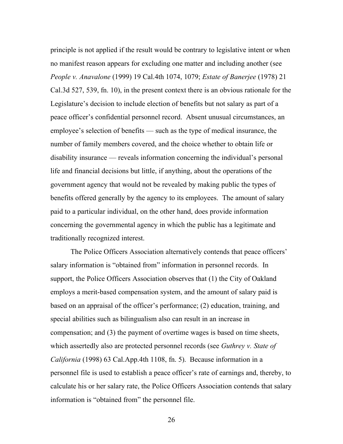principle is not applied if the result would be contrary to legislative intent or when no manifest reason appears for excluding one matter and including another (see *People v. Anavalone* (1999) 19 Cal.4th 1074, 1079; *Estate of Banerjee* (1978) 21 Cal.3d 527, 539, fn. 10), in the present context there is an obvious rationale for the Legislature's decision to include election of benefits but not salary as part of a peace officer's confidential personnel record. Absent unusual circumstances, an employee's selection of benefits — such as the type of medical insurance, the number of family members covered, and the choice whether to obtain life or disability insurance — reveals information concerning the individual's personal life and financial decisions but little, if anything, about the operations of the government agency that would not be revealed by making public the types of benefits offered generally by the agency to its employees. The amount of salary paid to a particular individual, on the other hand, does provide information concerning the governmental agency in which the public has a legitimate and traditionally recognized interest.

The Police Officers Association alternatively contends that peace officers' salary information is "obtained from" information in personnel records. In support, the Police Officers Association observes that (1) the City of Oakland employs a merit-based compensation system, and the amount of salary paid is based on an appraisal of the officer's performance; (2) education, training, and special abilities such as bilingualism also can result in an increase in compensation; and (3) the payment of overtime wages is based on time sheets, which assertedly also are protected personnel records (see *Guthrey v. State of California* (1998) 63 Cal.App.4th 1108, fn. 5). Because information in a personnel file is used to establish a peace officer's rate of earnings and, thereby, to calculate his or her salary rate, the Police Officers Association contends that salary information is "obtained from" the personnel file.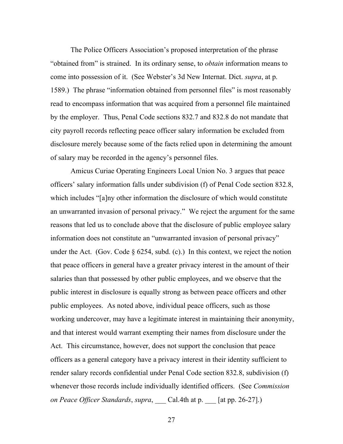The Police Officers Association's proposed interpretation of the phrase "obtained from" is strained. In its ordinary sense, to *obtain* information means to come into possession of it. (See Webster's 3d New Internat. Dict. *supra*, at p. 1589.) The phrase "information obtained from personnel files" is most reasonably read to encompass information that was acquired from a personnel file maintained by the employer. Thus, Penal Code sections 832.7 and 832.8 do not mandate that city payroll records reflecting peace officer salary information be excluded from disclosure merely because some of the facts relied upon in determining the amount of salary may be recorded in the agency's personnel files.

Amicus Curiae Operating Engineers Local Union No. 3 argues that peace officers' salary information falls under subdivision (f) of Penal Code section 832.8, which includes "[a]ny other information the disclosure of which would constitute an unwarranted invasion of personal privacy." We reject the argument for the same reasons that led us to conclude above that the disclosure of public employee salary information does not constitute an "unwarranted invasion of personal privacy" under the Act. (Gov. Code  $\S 6254$ , subd. (c).) In this context, we reject the notion that peace officers in general have a greater privacy interest in the amount of their salaries than that possessed by other public employees, and we observe that the public interest in disclosure is equally strong as between peace officers and other public employees. As noted above, individual peace officers, such as those working undercover, may have a legitimate interest in maintaining their anonymity, and that interest would warrant exempting their names from disclosure under the Act. This circumstance, however, does not support the conclusion that peace officers as a general category have a privacy interest in their identity sufficient to render salary records confidential under Penal Code section 832.8, subdivision (f) whenever those records include individually identified officers. (See *Commission on Peace Officer Standards*, *supra*, \_\_\_ Cal.4th at p. \_\_\_ [at pp. 26-27].)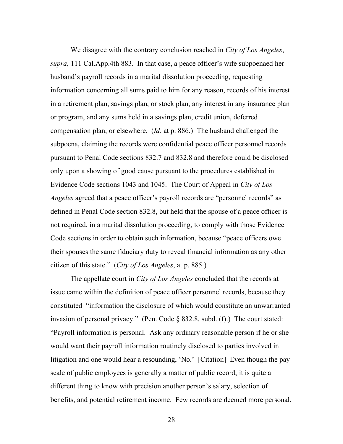We disagree with the contrary conclusion reached in *City of Los Angeles*, *supra*, 111 Cal.App.4th 883. In that case, a peace officer's wife subpoenaed her husband's payroll records in a marital dissolution proceeding, requesting information concerning all sums paid to him for any reason, records of his interest in a retirement plan, savings plan, or stock plan, any interest in any insurance plan or program, and any sums held in a savings plan, credit union, deferred compensation plan, or elsewhere. (*Id*. at p. 886.) The husband challenged the subpoena, claiming the records were confidential peace officer personnel records pursuant to Penal Code sections 832.7 and 832.8 and therefore could be disclosed only upon a showing of good cause pursuant to the procedures established in Evidence Code sections 1043 and 1045. The Court of Appeal in *City of Los Angeles* agreed that a peace officer's payroll records are "personnel records" as defined in Penal Code section 832.8, but held that the spouse of a peace officer is not required, in a marital dissolution proceeding, to comply with those Evidence Code sections in order to obtain such information, because "peace officers owe their spouses the same fiduciary duty to reveal financial information as any other citizen of this state." (*City of Los Angeles*, at p. 885.)

The appellate court in *City of Los Angeles* concluded that the records at issue came within the definition of peace officer personnel records, because they constituted "information the disclosure of which would constitute an unwarranted invasion of personal privacy." (Pen. Code § 832.8, subd. (f).) The court stated: "Payroll information is personal. Ask any ordinary reasonable person if he or she would want their payroll information routinely disclosed to parties involved in litigation and one would hear a resounding, 'No.' [Citation] Even though the pay scale of public employees is generally a matter of public record, it is quite a different thing to know with precision another person's salary, selection of benefits, and potential retirement income. Few records are deemed more personal.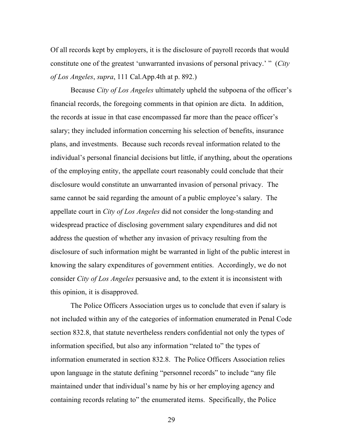Of all records kept by employers, it is the disclosure of payroll records that would constitute one of the greatest 'unwarranted invasions of personal privacy.' " (*City of Los Angeles*, *supra*, 111 Cal.App.4th at p. 892.)

Because *City of Los Angeles* ultimately upheld the subpoena of the officer's financial records, the foregoing comments in that opinion are dicta. In addition, the records at issue in that case encompassed far more than the peace officer's salary; they included information concerning his selection of benefits, insurance plans, and investments. Because such records reveal information related to the individual's personal financial decisions but little, if anything, about the operations of the employing entity, the appellate court reasonably could conclude that their disclosure would constitute an unwarranted invasion of personal privacy. The same cannot be said regarding the amount of a public employee's salary. The appellate court in *City of Los Angeles* did not consider the long-standing and widespread practice of disclosing government salary expenditures and did not address the question of whether any invasion of privacy resulting from the disclosure of such information might be warranted in light of the public interest in knowing the salary expenditures of government entities. Accordingly, we do not consider *City of Los Angeles* persuasive and, to the extent it is inconsistent with this opinion, it is disapproved.

The Police Officers Association urges us to conclude that even if salary is not included within any of the categories of information enumerated in Penal Code section 832.8, that statute nevertheless renders confidential not only the types of information specified, but also any information "related to" the types of information enumerated in section 832.8. The Police Officers Association relies upon language in the statute defining "personnel records" to include "any file maintained under that individual's name by his or her employing agency and containing records relating to" the enumerated items. Specifically, the Police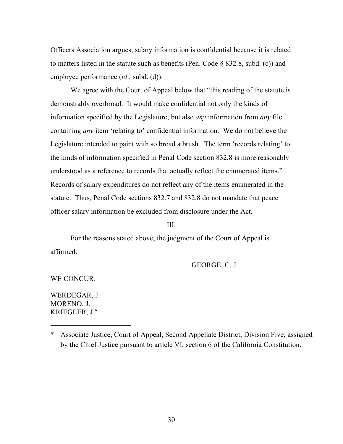Officers Association argues, salary information is confidential because it is related to matters listed in the statute such as benefits (Pen. Code § 832.8, subd. (c)) and employee performance (*id*., subd. (d)).

We agree with the Court of Appeal below that "this reading of the statute is demonstrably overbroad. It would make confidential not only the kinds of information specified by the Legislature, but also *any* information from *any* file containing *any* item 'relating to' confidential information. We do not believe the Legislature intended to paint with so broad a brush. The term 'records relating' to the kinds of information specified in Penal Code section 832.8 is more reasonably understood as a reference to records that actually reflect the enumerated items." Records of salary expenditures do not reflect any of the items enumerated in the statute. Thus, Penal Code sections 832.7 and 832.8 do not mandate that peace officer salary information be excluded from disclosure under the Act.

III.

For the reasons stated above, the judgment of the Court of Appeal is affirmed.

GEORGE, C. J.

WE CONCUR:

WERDEGAR, J. MORENO, J. KRIEGLER, J.**\***

<sup>\*</sup> Associate Justice, Court of Appeal, Second Appellate District, Division Five, assigned by the Chief Justice pursuant to article VI, section 6 of the California Constitution.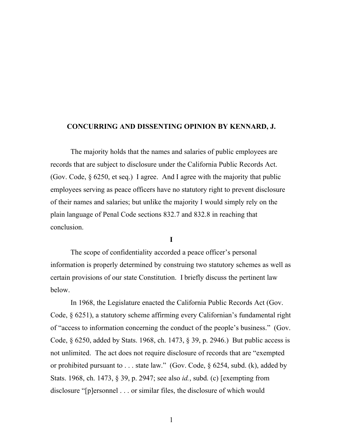### **CONCURRING AND DISSENTING OPINION BY KENNARD, J.**

The majority holds that the names and salaries of public employees are records that are subject to disclosure under the California Public Records Act. (Gov. Code, § 6250, et seq.) I agree. And I agree with the majority that public employees serving as peace officers have no statutory right to prevent disclosure of their names and salaries; but unlike the majority I would simply rely on the plain language of Penal Code sections 832.7 and 832.8 in reaching that conclusion.

**I**

The scope of confidentiality accorded a peace officer's personal information is properly determined by construing two statutory schemes as well as certain provisions of our state Constitution. I briefly discuss the pertinent law below.

In 1968, the Legislature enacted the California Public Records Act (Gov. Code, § 6251), a statutory scheme affirming every Californian's fundamental right of "access to information concerning the conduct of the people's business." (Gov. Code, § 6250, added by Stats. 1968, ch. 1473, § 39, p. 2946.) But public access is not unlimited. The act does not require disclosure of records that are "exempted or prohibited pursuant to . . . state law." (Gov. Code, § 6254, subd. (k), added by Stats. 1968, ch. 1473, § 39, p. 2947; see also *id.*, subd. (c) [exempting from disclosure "[p]ersonnel . . . or similar files, the disclosure of which would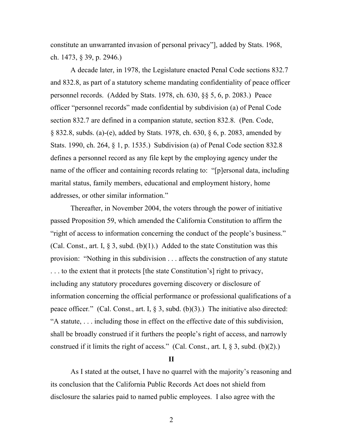constitute an unwarranted invasion of personal privacy"], added by Stats. 1968, ch. 1473, § 39, p. 2946.)

A decade later, in 1978, the Legislature enacted Penal Code sections 832.7 and 832.8, as part of a statutory scheme mandating confidentiality of peace officer personnel records. (Added by Stats. 1978, ch. 630, §§ 5, 6, p. 2083.) Peace officer "personnel records" made confidential by subdivision (a) of Penal Code section 832.7 are defined in a companion statute, section 832.8. (Pen. Code, § 832.8, subds. (a)-(e), added by Stats. 1978, ch. 630, § 6, p. 2083, amended by Stats. 1990, ch. 264, § 1, p. 1535.) Subdivision (a) of Penal Code section 832.8 defines a personnel record as any file kept by the employing agency under the name of the officer and containing records relating to: "[p]ersonal data, including marital status, family members, educational and employment history, home addresses, or other similar information."

Thereafter, in November 2004, the voters through the power of initiative passed Proposition 59, which amended the California Constitution to affirm the "right of access to information concerning the conduct of the people's business." (Cal. Const., art. I,  $\S 3$ , subd. (b)(1).) Added to the state Constitution was this provision: "Nothing in this subdivision . . . affects the construction of any statute . . . to the extent that it protects [the state Constitution's] right to privacy, including any statutory procedures governing discovery or disclosure of information concerning the official performance or professional qualifications of a peace officer*.*" (Cal. Const., art. I, § 3, subd. (b)(3).) The initiative also directed: "A statute, . . . including those in effect on the effective date of this subdivision, shall be broadly construed if it furthers the people's right of access, and narrowly construed if it limits the right of access." (Cal. Const., art. I,  $\S 3$ , subd. (b)(2).)

### **II**

As I stated at the outset, I have no quarrel with the majority's reasoning and its conclusion that the California Public Records Act does not shield from disclosure the salaries paid to named public employees. I also agree with the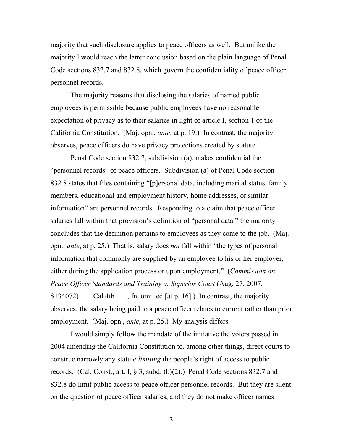majority that such disclosure applies to peace officers as well. But unlike the majority I would reach the latter conclusion based on the plain language of Penal Code sections 832.7 and 832.8, which govern the confidentiality of peace officer personnel records.

The majority reasons that disclosing the salaries of named public employees is permissible because public employees have no reasonable expectation of privacy as to their salaries in light of article I, section 1 of the California Constitution. (Maj. opn., *ante*, at p. 19.) In contrast, the majority observes, peace officers do have privacy protections created by statute.

Penal Code section 832.7, subdivision (a), makes confidential the "personnel records" of peace officers. Subdivision (a) of Penal Code section 832.8 states that files containing "[p]ersonal data, including marital status, family members, educational and employment history, home addresses, or similar information" are personnel records. Responding to a claim that peace officer salaries fall within that provision's definition of "personal data," the majority concludes that the definition pertains to employees as they come to the job. (Maj. opn., *ante*, at p. 25.) That is, salary does *not* fall within "the types of personal information that commonly are supplied by an employee to his or her employer, either during the application process or upon employment." (*Commission on Peace Officer Standards and Training v. Superior Court* (Aug. 27, 2007, S134072) Cal.4th  $\alpha$ , fn. omitted [at p. 16].) In contrast, the majority observes, the salary being paid to a peace officer relates to current rather than prior employment. (Maj. opn., *ante*, at p. 25.) My analysis differs.

I would simply follow the mandate of the initiative the voters passed in 2004 amending the California Constitution to, among other things, direct courts to construe narrowly any statute *limiting* the people's right of access to public records. (Cal. Const., art. I, § 3, subd. (b)(2).) Penal Code sections 832.7 and 832.8 do limit public access to peace officer personnel records. But they are silent on the question of peace officer salaries, and they do not make officer names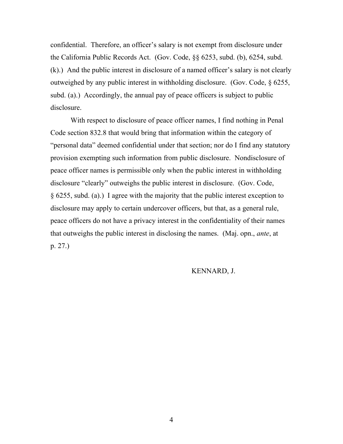confidential. Therefore, an officer's salary is not exempt from disclosure under the California Public Records Act. (Gov. Code, §§ 6253, subd. (b), 6254, subd. (k).) And the public interest in disclosure of a named officer's salary is not clearly outweighed by any public interest in withholding disclosure. (Gov. Code, § 6255, subd. (a).) Accordingly, the annual pay of peace officers is subject to public disclosure.

With respect to disclosure of peace officer names, I find nothing in Penal Code section 832.8 that would bring that information within the category of "personal data" deemed confidential under that section; nor do I find any statutory provision exempting such information from public disclosure. Nondisclosure of peace officer names is permissible only when the public interest in withholding disclosure "clearly" outweighs the public interest in disclosure. (Gov. Code, § 6255, subd. (a).) I agree with the majority that the public interest exception to disclosure may apply to certain undercover officers, but that, as a general rule, peace officers do not have a privacy interest in the confidentiality of their names that outweighs the public interest in disclosing the names. (Maj. opn., *ante*, at p. 27.)

## KENNARD, J.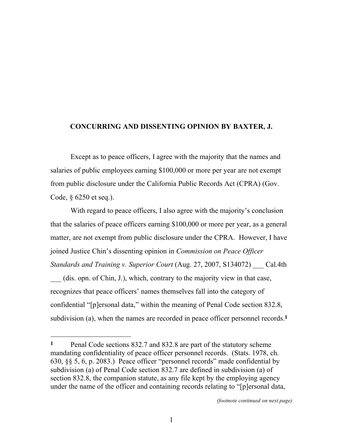## **CONCURRING AND DISSENTING OPINION BY BAXTER, J.**

Except as to peace officers, I agree with the majority that the names and salaries of public employees earning \$100,000 or more per year are not exempt from public disclosure under the California Public Records Act (CPRA) (Gov. Code, § 6250 et seq.).

With regard to peace officers, I also agree with the majority's conclusion that the salaries of peace officers earning \$100,000 or more per year, as a general matter, are not exempt from public disclosure under the CPRA. However, I have joined Justice Chin's dissenting opinion in *Commission on Peace Officer* 

*Standards and Training v. Superior Court* (Aug. 27, 2007, S134072) \_\_\_ Cal.4th \_\_\_ (dis. opn. of Chin, J.), which, contrary to the majority view in that case,

recognizes that peace officers' names themselves fall into the category of confidential "[p]ersonal data," within the meaning of Penal Code section 832.8, subdivision (a), when the names are recorded in peace officer personnel records.**1**

**<sup>1</sup>** Penal Code sections 832.7 and 832.8 are part of the statutory scheme mandating confidentiality of peace officer personnel records. (Stats. 1978, ch. 630, §§ 5, 6, p. 2083.) Peace officer "personnel records" made confidential by subdivision (a) of Penal Code section 832.7 are defined in subdivision (a) of section 832.8, the companion statute, as any file kept by the employing agency under the name of the officer and containing records relating to "[p]ersonal data,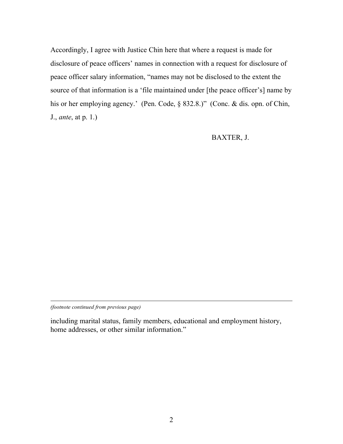Accordingly, I agree with Justice Chin here that where a request is made for disclosure of peace officers' names in connection with a request for disclosure of peace officer salary information, "names may not be disclosed to the extent the source of that information is a 'file maintained under [the peace officer's] name by his or her employing agency.' (Pen. Code, § 832.8.)" (Conc. & dis. opn. of Chin, J., *ante*, at p. 1.)

## BAXTER, J.

*(footnote continued from previous page)*

l

including marital status, family members, educational and employment history, home addresses, or other similar information."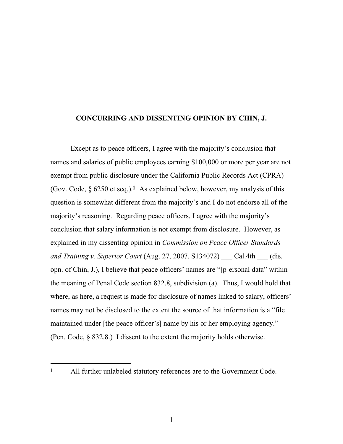### **CONCURRING AND DISSENTING OPINION BY CHIN, J.**

Except as to peace officers, I agree with the majority's conclusion that names and salaries of public employees earning \$100,000 or more per year are not exempt from public disclosure under the California Public Records Act (CPRA) (Gov. Code, § 6250 et seq.).**1** As explained below, however, my analysis of this question is somewhat different from the majority's and I do not endorse all of the majority's reasoning. Regarding peace officers, I agree with the majority's conclusion that salary information is not exempt from disclosure. However, as explained in my dissenting opinion in *Commission on Peace Officer Standards and Training v. Superior Court* (Aug. 27, 2007, S134072) \_\_\_ Cal.4th \_\_\_ (dis. opn. of Chin, J.), I believe that peace officers' names are "[p]ersonal data" within the meaning of Penal Code section 832.8, subdivision (a). Thus, I would hold that where, as here, a request is made for disclosure of names linked to salary, officers' names may not be disclosed to the extent the source of that information is a "file maintained under [the peace officer's] name by his or her employing agency." (Pen. Code, § 832.8.) I dissent to the extent the majority holds otherwise.

**<sup>1</sup>** All further unlabeled statutory references are to the Government Code.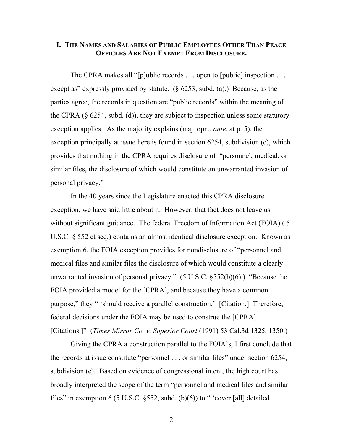## **I. THE NAMES AND SALARIES OF PUBLIC EMPLOYEES OTHER THAN PEACE OFFICERS ARE NOT EXEMPT FROM DISCLOSURE.**

The CPRA makes all "[p]ublic records . . . open to [public] inspection . . . except as" expressly provided by statute. (§ 6253, subd. (a).) Because, as the parties agree, the records in question are "public records" within the meaning of the CPRA  $(\S$  6254, subd. (d)), they are subject to inspection unless some statutory exception applies. As the majority explains (maj. opn., *ante*, at p. 5), the exception principally at issue here is found in section 6254, subdivision (c), which provides that nothing in the CPRA requires disclosure of "personnel, medical, or similar files, the disclosure of which would constitute an unwarranted invasion of personal privacy."

In the 40 years since the Legislature enacted this CPRA disclosure exception, we have said little about it. However, that fact does not leave us without significant guidance. The federal Freedom of Information Act (FOIA) ( 5 U.S.C. § 552 et seq.) contains an almost identical disclosure exception. Known as exemption 6, the FOIA exception provides for nondisclosure of "personnel and medical files and similar files the disclosure of which would constitute a clearly unwarranted invasion of personal privacy." (5 U.S.C. §552(b)(6).) "Because the FOIA provided a model for the [CPRA], and because they have a common purpose," they " 'should receive a parallel construction.' [Citation.] Therefore, federal decisions under the FOIA may be used to construe the [CPRA]. [Citations.]" (*Times Mirror Co. v. Superior Court* (1991) 53 Cal.3d 1325, 1350.)

Giving the CPRA a construction parallel to the FOIA's, I first conclude that the records at issue constitute "personnel . . . or similar files" under section 6254, subdivision (c). Based on evidence of congressional intent, the high court has broadly interpreted the scope of the term "personnel and medical files and similar files" in exemption 6 (5 U.S.C.  $\S552$ , subd. (b)(6)) to " 'cover [all] detailed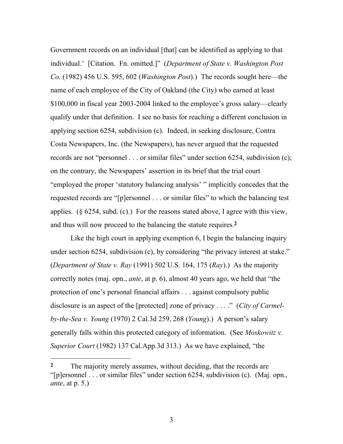Government records on an individual [that] can be identified as applying to that individual.' [Citation. Fn. omitted.]" (*Department of State v. Washington Post Co.* (1982) 456 U.S. 595, 602 (*Washington Post*).) The records sought here—the name of each employee of the City of Oakland (the City) who earned at least \$100,000 in fiscal year 2003-2004 linked to the employee's gross salary—clearly qualify under that definition. I see no basis for reaching a different conclusion in applying section 6254, subdivision (c). Indeed, in seeking disclosure, Contra Costa Newspapers, Inc. (the Newspapers), has never argued that the requested records are not "personnel . . . or similar files" under section 6254, subdivision (c); on the contrary, the Newspapers' assertion in its brief that the trial court "employed the proper 'statutory balancing analysis' " implicitly concedes that the requested records are "[p]ersonnel . . . or similar files" to which the balancing test applies. (§ 6254, subd. (c).) For the reasons stated above, I agree with this view, and thus will now proceed to the balancing the statute requires.**2**

Like the high court in applying exemption 6, I begin the balancing inquiry under section 6254, subdivision (c), by considering "the privacy interest at stake." (*Department of State v. Ray* (1991) 502 U.S. 164, 175 (*Ray*).) As the majority correctly notes (maj. opn., *ante*, at p. 6), almost 40 years ago, we held that "the protection of one's personal financial affairs . . . against compulsory public disclosure is an aspect of the [protected] zone of privacy . . . ." (*City of Carmelby-the-Sea v. Young* (1970) 2 Cal.3d 259, 268 (*Young*).) A person's salary generally falls within this protected category of information. (See *Moskowitz v. Superior Court* (1982) 137 Cal.App.3d 313.) As we have explained, "the

<sup>&</sup>lt;sup>2</sup> The majority merely assumes, without deciding, that the records are "[p]ersonnel . . . or similar files" under section 6254, subdivision (c). (Maj. opn., *ante*, at p. 5.)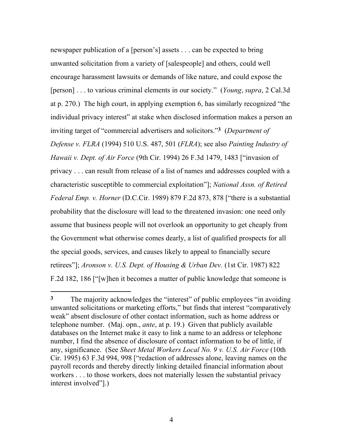newspaper publication of a [person's] assets . . . can be expected to bring unwanted solicitation from a variety of [salespeople] and others, could well encourage harassment lawsuits or demands of like nature, and could expose the [person] . . . to various criminal elements in our society." (*Young*, *supra*, 2 Cal.3d at p. 270.) The high court, in applying exemption 6, has similarly recognized "the individual privacy interest" at stake when disclosed information makes a person an inviting target of "commercial advertisers and solicitors."**3** (*Department of Defense v. FLRA* (1994) 510 U.S. 487, 501 (*FLRA*); see also *Painting Industry of Hawaii v. Dept. of Air Force* (9th Cir. 1994) 26 F.3d 1479, 1483 ["invasion of privacy . . . can result from release of a list of names and addresses coupled with a characteristic susceptible to commercial exploitation"]; *National Assn. of Retired Federal Emp. v. Horner* (D.C.Cir. 1989) 879 F.2d 873, 878 ["there is a substantial probability that the disclosure will lead to the threatened invasion: one need only assume that business people will not overlook an opportunity to get cheaply from the Government what otherwise comes dearly, a list of qualified prospects for all the special goods, services, and causes likely to appeal to financially secure retirees"]; *Aronson v. U.S. Dept. of Housing & Urban Dev.* (1st Cir. 1987) 822 F.2d 182, 186 ["[w]hen it becomes a matter of public knowledge that someone is

**<sup>3</sup>** The majority acknowledges the "interest" of public employees "in avoiding unwanted solicitations or marketing efforts," but finds that interest "comparatively weak" absent disclosure of other contact information, such as home address or telephone number. (Maj. opn., *ante*, at p. 19.) Given that publicly available databases on the Internet make it easy to link a name to an address or telephone number, I find the absence of disclosure of contact information to be of little, if any, significance. (See *Sheet Metal Workers Local No. 9 v. U.S. Air Force* (10th Cir. 1995) 63 F.3d 994, 998 ["redaction of addresses alone, leaving names on the payroll records and thereby directly linking detailed financial information about workers . . . to those workers, does not materially lessen the substantial privacy interest involved"].)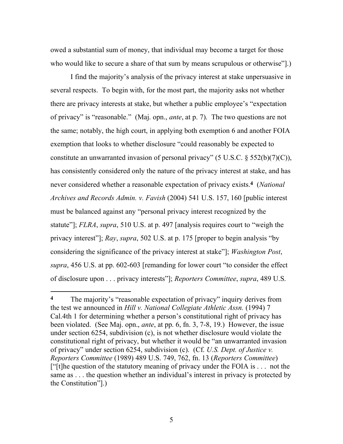owed a substantial sum of money, that individual may become a target for those who would like to secure a share of that sum by means scrupulous or otherwise".)

I find the majority's analysis of the privacy interest at stake unpersuasive in several respects. To begin with, for the most part, the majority asks not whether there are privacy interests at stake, but whether a public employee's "expectation of privacy" is "reasonable." (Maj. opn., *ante*, at p. 7). The two questions are not the same; notably, the high court, in applying both exemption 6 and another FOIA exemption that looks to whether disclosure "could reasonably be expected to constitute an unwarranted invasion of personal privacy" (5 U.S.C.  $\frac{1}{2}$  552(b)(7)(C)), has consistently considered only the nature of the privacy interest at stake, and has never considered whether a reasonable expectation of privacy exists.**4** (*National Archives and Records Admin. v. Favish* (2004) 541 U.S. 157, 160 [public interest must be balanced against any "personal privacy interest recognized by the statute"]; *FLRA*, *supra*, 510 U.S. at p. 497 [analysis requires court to "weigh the privacy interest"]; *Ray*, *supra*, 502 U.S. at p. 175 [proper to begin analysis "by considering the significance of the privacy interest at stake"]; *Washington Post*, *supra*, 456 U.S. at pp. 602-603 [remanding for lower court "to consider the effect of disclosure upon . . . privacy interests"]; *Reporters Committee*, *supra*, 489 U.S.

**<sup>4</sup>** The majority's "reasonable expectation of privacy" inquiry derives from the test we announced in *Hill v. National Collegiate Athletic Assn.* (1994) 7 Cal.4th 1 for determining whether a person's constitutional right of privacy has been violated. (See Maj. opn., *ante*, at pp. 6, fn. 3, 7-8, 19.) However, the issue under section 6254, subdivision (c), is not whether disclosure would violate the constitutional right of privacy, but whether it would be "an unwarranted invasion of privacy" under section 6254, subdivision (c). (Cf. *U.S. Dept. of Justice v. Reporters Committee* (1989) 489 U.S. 749, 762, fn. 13 (*Reporters Committee*) ["[t]he question of the statutory meaning of privacy under the FOIA is . . . not the same as . . . the question whether an individual's interest in privacy is protected by the Constitution"].)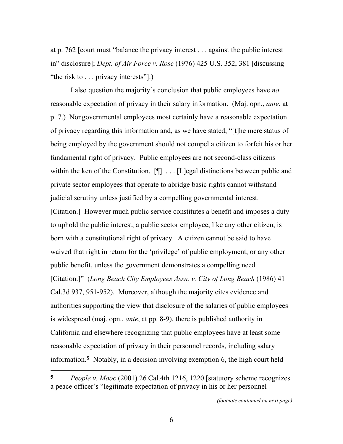at p. 762 [court must "balance the privacy interest . . . against the public interest in" disclosure]; *Dept. of Air Force v. Rose* (1976) 425 U.S. 352, 381 [discussing "the risk to . . . privacy interests".)

I also question the majority's conclusion that public employees have *no* reasonable expectation of privacy in their salary information. (Maj. opn., *ante*, at p. 7.) Nongovernmental employees most certainly have a reasonable expectation of privacy regarding this information and, as we have stated, "[t]he mere status of being employed by the government should not compel a citizen to forfeit his or her fundamental right of privacy. Public employees are not second-class citizens within the ken of the Constitution.  $[\P]$  ... [L]egal distinctions between public and private sector employees that operate to abridge basic rights cannot withstand judicial scrutiny unless justified by a compelling governmental interest. [Citation.] However much public service constitutes a benefit and imposes a duty to uphold the public interest, a public sector employee, like any other citizen, is born with a constitutional right of privacy. A citizen cannot be said to have waived that right in return for the 'privilege' of public employment, or any other public benefit, unless the government demonstrates a compelling need. [Citation.]" (*Long Beach City Employees Assn. v. City of Long Beach* (1986) 41 Cal.3d 937, 951-952). Moreover, although the majority cites evidence and authorities supporting the view that disclosure of the salaries of public employees is widespread (maj. opn., *ante*, at pp. 8-9), there is published authority in California and elsewhere recognizing that public employees have at least some reasonable expectation of privacy in their personnel records, including salary information.**5** Notably, in a decision involving exemption 6, the high court held

**<sup>5</sup>** *People v. Mooc* (2001) 26 Cal.4th 1216, 1220 [statutory scheme recognizes a peace officer's "legitimate expectation of privacy in his or her personnel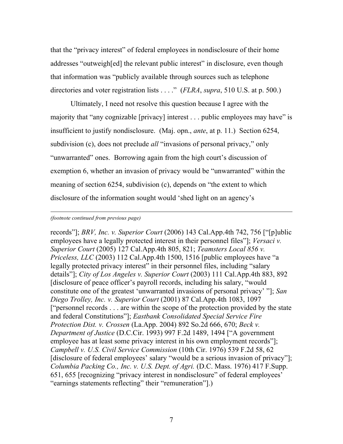that the "privacy interest" of federal employees in nondisclosure of their home addresses "outweigh[ed] the relevant public interest" in disclosure, even though that information was "publicly available through sources such as telephone directories and voter registration lists . . . ." (*FLRA*, *supra*, 510 U.S. at p. 500.)

Ultimately, I need not resolve this question because I agree with the majority that "any cognizable [privacy] interest . . . public employees may have" is insufficient to justify nondisclosure. (Maj. opn., *ante*, at p. 11.) Section 6254, subdivision (c), does not preclude *all* "invasions of personal privacy," only "unwarranted" ones. Borrowing again from the high court's discussion of exemption 6, whether an invasion of privacy would be "unwarranted" within the meaning of section 6254, subdivision (c), depends on "the extent to which disclosure of the information sought would 'shed light on an agency's

#### *(footnote continued from previous page)*

l

records"]; *BRV, Inc. v. Superior Court* (2006) 143 Cal.App.4th 742, 756 ["[p]ublic employees have a legally protected interest in their personnel files"]; *Versaci v. Superior Court* (2005) 127 Cal.App.4th 805, 821; *Teamsters Local 856 v. Priceless, LLC* (2003) 112 Cal.App.4th 1500, 1516 [public employees have "a legally protected privacy interest" in their personnel files, including "salary details"]; *City of Los Angeles v. Superior Court* (2003) 111 Cal.App.4th 883, 892 [disclosure of peace officer's payroll records, including his salary, "would constitute one of the greatest 'unwarranted invasions of personal privacy' "]; *San Diego Trolley, Inc. v. Superior Court* (2001) 87 Cal.App.4th 1083, 1097 ["personnel records . . . are within the scope of the protection provided by the state and federal Constitutions"]; *Eastbank Consolidated Special Service Fire Protection Dist. v. Crossen* (La.App. 2004) 892 So.2d 666, 670; *Beck v. Department of Justice* (D.C.Cir. 1993) 997 F.2d 1489, 1494 ["A government employee has at least some privacy interest in his own employment records"]; *Campbell v. U.S. Civil Service Commission* (10th Cir. 1976) 539 F.2d 58, 62 [disclosure of federal employees' salary "would be a serious invasion of privacy"]; *Columbia Packing Co., Inc. v. U.S. Dept. of Agri.* (D.C. Mass. 1976) 417 F.Supp. 651, 655 [recognizing "privacy interest in nondisclosure" of federal employees' "earnings statements reflecting" their "remuneration"].)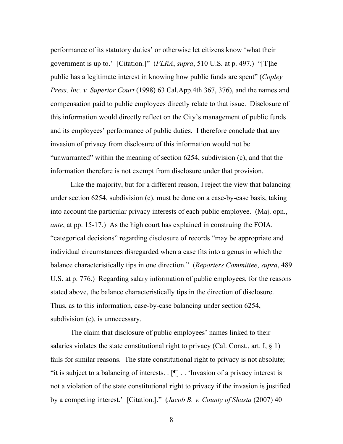performance of its statutory duties' or otherwise let citizens know 'what their government is up to.' [Citation.]" (*FLRA*, *supra*, 510 U.S. at p. 497.) "[T]he public has a legitimate interest in knowing how public funds are spent" (*Copley Press, Inc. v. Superior Court* (1998) 63 Cal.App.4th 367, 376), and the names and compensation paid to public employees directly relate to that issue. Disclosure of this information would directly reflect on the City's management of public funds and its employees' performance of public duties. I therefore conclude that any invasion of privacy from disclosure of this information would not be "unwarranted" within the meaning of section 6254, subdivision (c), and that the information therefore is not exempt from disclosure under that provision.

Like the majority, but for a different reason, I reject the view that balancing under section 6254, subdivision (c), must be done on a case-by-case basis, taking into account the particular privacy interests of each public employee. (Maj. opn., *ante*, at pp. 15-17.) As the high court has explained in construing the FOIA, "categorical decisions" regarding disclosure of records "may be appropriate and individual circumstances disregarded when a case fits into a genus in which the balance characteristically tips in one direction." (*Reporters Committee*, *supra*, 489 U.S. at p. 776.) Regarding salary information of public employees, for the reasons stated above, the balance characteristically tips in the direction of disclosure. Thus, as to this information, case-by-case balancing under section 6254, subdivision (c), is unnecessary.

The claim that disclosure of public employees' names linked to their salaries violates the state constitutional right to privacy (Cal. Const., art. I,  $\S$  1) fails for similar reasons. The state constitutional right to privacy is not absolute; "it is subject to a balancing of interests. . [¶] . . 'Invasion of a privacy interest is not a violation of the state constitutional right to privacy if the invasion is justified by a competing interest.' [Citation.]." (*Jacob B. v. County of Shasta* (2007) 40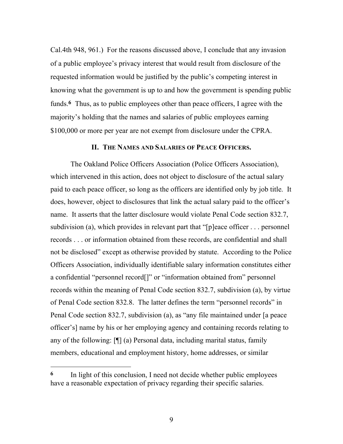Cal.4th 948, 961.) For the reasons discussed above, I conclude that any invasion of a public employee's privacy interest that would result from disclosure of the requested information would be justified by the public's competing interest in knowing what the government is up to and how the government is spending public funds.**6** Thus, as to public employees other than peace officers, I agree with the majority's holding that the names and salaries of public employees earning \$100,000 or more per year are not exempt from disclosure under the CPRA.

### **II. THE NAMES AND SALARIES OF PEACE OFFICERS.**

The Oakland Police Officers Association (Police Officers Association), which intervened in this action, does not object to disclosure of the actual salary paid to each peace officer, so long as the officers are identified only by job title. It does, however, object to disclosures that link the actual salary paid to the officer's name. It asserts that the latter disclosure would violate Penal Code section 832.7, subdivision (a), which provides in relevant part that "[p]eace officer . . . personnel records . . . or information obtained from these records, are confidential and shall not be disclosed" except as otherwise provided by statute. According to the Police Officers Association, individually identifiable salary information constitutes either a confidential "personnel record[]" or "information obtained from" personnel records within the meaning of Penal Code section 832.7, subdivision (a), by virtue of Penal Code section 832.8. The latter defines the term "personnel records" in Penal Code section 832.7, subdivision (a), as "any file maintained under [a peace officer's] name by his or her employing agency and containing records relating to any of the following: [¶] (a) Personal data, including marital status, family members, educational and employment history, home addresses, or similar

**<sup>6</sup>** In light of this conclusion, I need not decide whether public employees have a reasonable expectation of privacy regarding their specific salaries.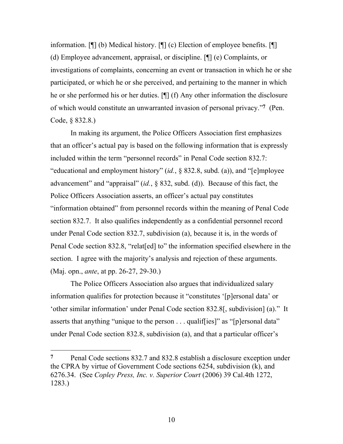information. [¶] (b) Medical history. [¶] (c) Election of employee benefits. [¶] (d) Employee advancement, appraisal, or discipline. [¶] (e) Complaints, or investigations of complaints, concerning an event or transaction in which he or she participated, or which he or she perceived, and pertaining to the manner in which he or she performed his or her duties. [¶] (f) Any other information the disclosure of which would constitute an unwarranted invasion of personal privacy."**7** (Pen. Code, § 832.8.)

In making its argument, the Police Officers Association first emphasizes that an officer's actual pay is based on the following information that is expressly included within the term "personnel records" in Penal Code section 832.7: "educational and employment history" (*id.*, § 832.8, subd. (a)), and "[e]mployee advancement" and "appraisal" (*id.*, § 832, subd. (d)). Because of this fact, the Police Officers Association asserts, an officer's actual pay constitutes "information obtained" from personnel records within the meaning of Penal Code section 832.7. It also qualifies independently as a confidential personnel record under Penal Code section 832.7, subdivision (a), because it is, in the words of Penal Code section 832.8, "relat[ed] to" the information specified elsewhere in the section. I agree with the majority's analysis and rejection of these arguments. (Maj. opn., *ante*, at pp. 26-27, 29-30.)

The Police Officers Association also argues that individualized salary information qualifies for protection because it "constitutes '[p]ersonal data' or 'other similar information' under Penal Code section 832.8[, subdivision] (a)." It asserts that anything "unique to the person . . . qualiffies]" as "[p]ersonal data" under Penal Code section 832.8, subdivision (a), and that a particular officer's

**<sup>7</sup>** Penal Code sections 832.7 and 832.8 establish a disclosure exception under the CPRA by virtue of Government Code sections 6254, subdivision (k), and 6276.34. (See *Copley Press, Inc. v. Superior Court* (2006) 39 Cal.4th 1272, 1283.)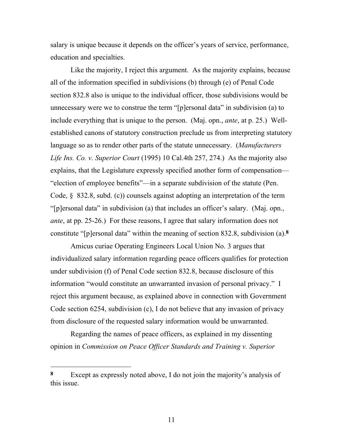salary is unique because it depends on the officer's years of service, performance, education and specialties.

Like the majority, I reject this argument. As the majority explains, because all of the information specified in subdivisions (b) through (e) of Penal Code section 832.8 also is unique to the individual officer, those subdivisions would be unnecessary were we to construe the term "[p]ersonal data" in subdivision (a) to include everything that is unique to the person. (Maj. opn., *ante*, at p. 25.) Wellestablished canons of statutory construction preclude us from interpreting statutory language so as to render other parts of the statute unnecessary. (*Manufacturers Life Ins. Co. v. Superior Court* (1995) 10 Cal.4th 257, 274.) As the majority also explains, that the Legislature expressly specified another form of compensation— "election of employee benefits"—in a separate subdivision of the statute (Pen. Code, § 832.8, subd. (c)) counsels against adopting an interpretation of the term "[p]ersonal data" in subdivision (a) that includes an officer's salary. (Maj. opn., *ante*, at pp. 25-26.) For these reasons, I agree that salary information does not constitute "[p]ersonal data" within the meaning of section 832.8, subdivision (a).**8**

Amicus curiae Operating Engineers Local Union No. 3 argues that individualized salary information regarding peace officers qualifies for protection under subdivision (f) of Penal Code section 832.8, because disclosure of this information "would constitute an unwarranted invasion of personal privacy." I reject this argument because, as explained above in connection with Government Code section 6254, subdivision (c), I do not believe that any invasion of privacy from disclosure of the requested salary information would be unwarranted.

Regarding the names of peace officers, as explained in my dissenting opinion in *Commission on Peace Officer Standards and Training v. Superior* 

**<sup>8</sup>** Except as expressly noted above, I do not join the majority's analysis of this issue.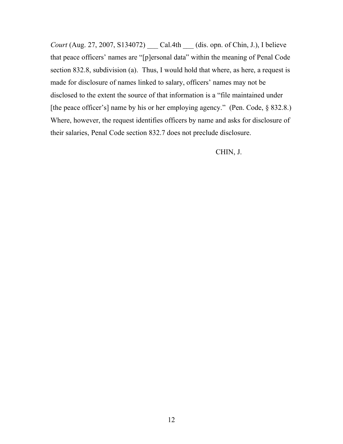*Court* (Aug. 27, 2007, S134072) *Cal.4th (dis. opn. of Chin, J.), I believe* that peace officers' names are "[p]ersonal data" within the meaning of Penal Code section 832.8, subdivision (a). Thus, I would hold that where, as here, a request is made for disclosure of names linked to salary, officers' names may not be disclosed to the extent the source of that information is a "file maintained under [the peace officer's] name by his or her employing agency." (Pen. Code, § 832.8.) Where, however, the request identifies officers by name and asks for disclosure of their salaries, Penal Code section 832.7 does not preclude disclosure.

CHIN, J.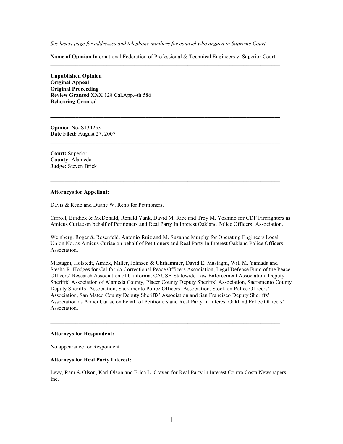*See lasext page for addresses and telephone numbers for counsel who argued in Supreme Court.*

**Name of Opinion** International Federation of Professional & Technical Engineers v. Superior Court  $\mathcal{L} = \{ \mathcal{L} \mathcal{L} \mathcal{L} \mathcal{L} \mathcal{L} \mathcal{L} \mathcal{L} \mathcal{L} \mathcal{L} \mathcal{L} \mathcal{L} \mathcal{L} \mathcal{L} \mathcal{L} \mathcal{L} \mathcal{L} \mathcal{L} \mathcal{L} \mathcal{L} \mathcal{L} \mathcal{L} \mathcal{L} \mathcal{L} \mathcal{L} \mathcal{L} \mathcal{L} \mathcal{L} \mathcal{L} \mathcal{L} \mathcal{L} \mathcal{L} \mathcal{L} \mathcal{L} \mathcal{L} \mathcal{L} \$ 

**\_\_\_\_\_\_\_\_\_\_\_\_\_\_\_\_\_\_\_\_\_\_\_\_\_\_\_\_\_\_\_\_\_\_\_\_\_\_\_\_\_\_\_\_\_\_\_\_\_\_\_\_\_\_\_\_\_\_\_\_\_\_\_\_\_\_\_\_\_\_\_\_\_\_\_\_\_\_\_\_\_\_**

 $\mathcal{L} = \{ \mathcal{L} \mathcal{L} \mathcal{L} \mathcal{L} \mathcal{L} \mathcal{L} \mathcal{L} \mathcal{L} \mathcal{L} \mathcal{L} \mathcal{L} \mathcal{L} \mathcal{L} \mathcal{L} \mathcal{L} \mathcal{L} \mathcal{L} \mathcal{L} \mathcal{L} \mathcal{L} \mathcal{L} \mathcal{L} \mathcal{L} \mathcal{L} \mathcal{L} \mathcal{L} \mathcal{L} \mathcal{L} \mathcal{L} \mathcal{L} \mathcal{L} \mathcal{L} \mathcal{L} \mathcal{L} \mathcal{L} \$ 

**\_\_\_\_\_\_\_\_\_\_\_\_\_\_\_\_\_\_\_\_\_\_\_\_\_\_\_\_\_\_\_\_\_\_\_\_\_\_\_\_\_\_\_\_\_\_\_\_\_\_\_\_\_\_\_\_\_\_\_\_\_\_\_\_\_\_\_\_\_\_\_\_\_\_\_\_\_\_\_\_\_\_**

**Unpublished Opinion Original Appeal Original Proceeding Review Granted** XXX 128 Cal.App.4th 586 **Rehearing Granted**

**Opinion No.** S134253 **Date Filed:** August 27, 2007

**Court:** Superior **County:** Alameda **Judge:** Steven Brick

#### **Attorneys for Appellant:**

Davis & Reno and Duane W. Reno for Petitioners.

Carroll, Burdick & McDonald, Ronald Yank, David M. Rice and Troy M. Yoshino for CDF Firefighters as Amicus Curiae on behalf of Petitioners and Real Party In Interest Oakland Police Officers' Association.

Weinberg, Roger & Rosenfeld, Antonio Ruiz and M. Suzanne Murphy for Operating Engineers Local Union No. as Amicus Curiae on behalf of Petitioners and Real Party In Interest Oakland Police Officers' Association.

Mastagni, Holstedt, Amick, Miller, Johnsen & Uhrhammer, David E. Mastagni, Will M. Yamada and Stesha R. Hodges for California Correctional Peace Officers Association, Legal Defense Fund of the Peace Officers' Research Association of California, CAUSE-Statewide Law Enforcement Association, Deputy Sheriffs' Association of Alameda County, Placer County Deputy Sheriffs' Association, Sacramento County Deputy Sheriffs' Association, Sacramento Police Officers' Association, Stockton Police Officers' Association, San Mateo County Deputy Sheriffs' Association and San Francisco Deputy Sheriffs' Association as Amici Curiae on behalf of Petitioners and Real Party In Interest Oakland Police Officers' Association.

#### **Attorneys for Respondent:**

No appearance for Respondent

#### **Attorneys for Real Party Interest:**

Levy, Ram & Olson, Karl Olson and Erica L. Craven for Real Party in Interest Contra Costa Newspapers, Inc.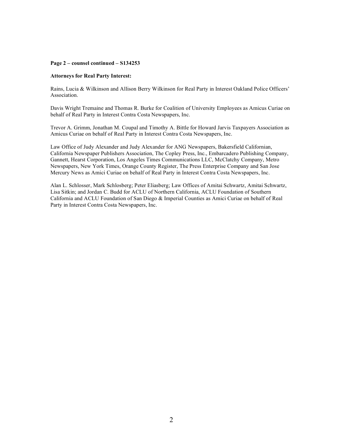#### **Page 2 – counsel continued – S134253**

#### **Attorneys for Real Party Interest:**

Rains, Lucia & Wilkinson and Allison Berry Wilkinson for Real Party in Interest Oakland Police Officers' Association.

Davis Wright Tremaine and Thomas R. Burke for Coalition of University Employees as Amicus Curiae on behalf of Real Party in Interest Contra Costa Newspapers, Inc.

Trevor A. Grimm, Jonathan M. Coupal and Timothy A. Bittle for Howard Jarvis Taxpayers Association as Amicus Curiae on behalf of Real Party in Interest Contra Costa Newspapers, Inc.

Law Office of Judy Alexander and Judy Alexander for ANG Newspapers, Bakersfield Californian, California Newspaper Publishers Association, The Copley Press, Inc., Embarcadero Publishing Company, Gannett, Hearst Corporation, Los Angeles Times Communications LLC, McClatchy Company, Metro Newspapers, New York Times, Orange County Register, The Press Enterprise Company and San Jose Mercury News as Amici Curiae on behalf of Real Party in Interest Contra Costa Newspapers, Inc.

Alan L. Schlosser, Mark Schlosberg; Peter Eliasberg; Law Offices of Amitai Schwartz, Amitai Schwartz, Lisa Sitkin; and Jordan C. Budd for ACLU of Northern California, ACLU Foundation of Southern California and ACLU Foundation of San Diego & Imperial Counties as Amici Curiae on behalf of Real Party in Interest Contra Costa Newspapers, Inc.